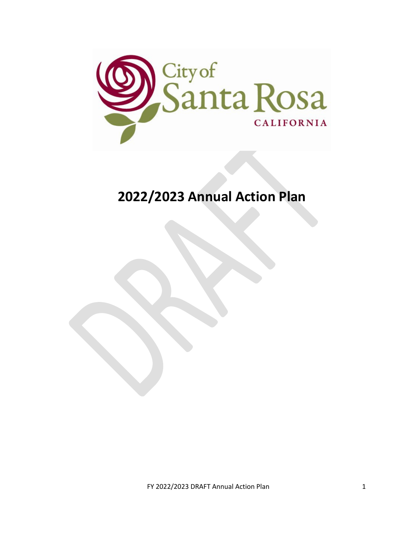

# **2022/2023 Annual Action Plan**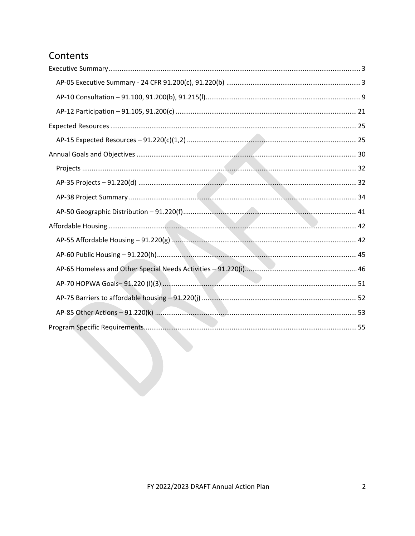# Contents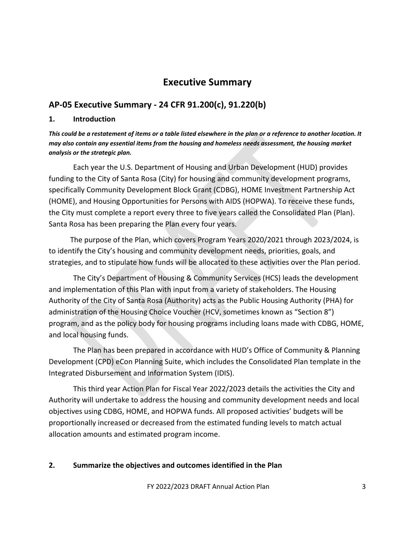# **Executive Summary**

# <span id="page-2-1"></span><span id="page-2-0"></span>**AP-05 Executive Summary - 24 CFR 91.200(c), 91.220(b)**

#### **1. Introduction**

*This could be a restatement of items or a table listed elsewhere in the plan or a reference to another location. It may also contain any essential items from the housing and homeless needs assessment, the housing market analysis or the strategic plan.*

Each year the U.S. Department of Housing and Urban Development (HUD) provides funding to the City of Santa Rosa (City) for housing and community development programs, specifically Community Development Block Grant (CDBG), HOME Investment Partnership Act (HOME), and Housing Opportunities for Persons with AIDS (HOPWA). To receive these funds, the City must complete a report every three to five years called the Consolidated Plan (Plan). Santa Rosa has been preparing the Plan every four years.

The purpose of the Plan, which covers Program Years 2020/2021 through 2023/2024, is to identify the City's housing and community development needs, priorities, goals, and strategies, and to stipulate how funds will be allocated to these activities over the Plan period.

The City's Department of Housing & Community Services (HCS) leads the development and implementation of this Plan with input from a variety of stakeholders. The Housing Authority of the City of Santa Rosa (Authority) acts as the Public Housing Authority (PHA) for administration of the Housing Choice Voucher (HCV, sometimes known as "Section 8") program, and as the policy body for housing programs including loans made with CDBG, HOME, and local housing funds.

The Plan has been prepared in accordance with HUD's Office of Community & Planning Development (CPD) eCon Planning Suite, which includes the Consolidated Plan template in the Integrated Disbursement and Information System (IDIS).

This third year Action Plan for Fiscal Year 2022/2023 details the activities the City and Authority will undertake to address the housing and community development needs and local objectives using CDBG, HOME, and HOPWA funds. All proposed activities' budgets will be proportionally increased or decreased from the estimated funding levels to match actual allocation amounts and estimated program income.

## **2. Summarize the objectives and outcomes identified in the Plan**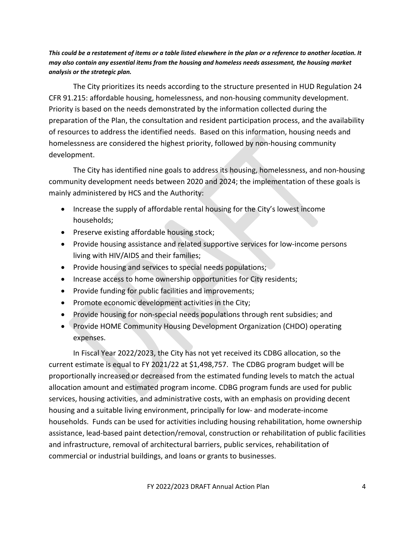*This could be a restatement of items or a table listed elsewhere in the plan or a reference to another location. It may also contain any essential items from the housing and homeless needs assessment, the housing market analysis or the strategic plan.*

The City prioritizes its needs according to the structure presented in HUD Regulation 24 CFR 91.215: affordable housing, homelessness, and non-housing community development. Priority is based on the needs demonstrated by the information collected during the preparation of the Plan, the consultation and resident participation process, and the availability of resources to address the identified needs. Based on this information, housing needs and homelessness are considered the highest priority, followed by non-housing community development.

The City has identified nine goals to address its housing, homelessness, and non-housing community development needs between 2020 and 2024; the implementation of these goals is mainly administered by HCS and the Authority:

- Increase the supply of affordable rental housing for the City's lowest income households;
- Preserve existing affordable housing stock;
- Provide housing assistance and related supportive services for low-income persons living with HIV/AIDS and their families;
- Provide housing and services to special needs populations;
- Increase access to home ownership opportunities for City residents;
- Provide funding for public facilities and improvements;
- Promote economic development activities in the City;
- Provide housing for non-special needs populations through rent subsidies; and
- Provide HOME Community Housing Development Organization (CHDO) operating expenses.

In Fiscal Year 2022/2023, the City has not yet received its CDBG allocation, so the current estimate is equal to FY 2021/22 at \$1,498,757. The CDBG program budget will be proportionally increased or decreased from the estimated funding levels to match the actual allocation amount and estimated program income. CDBG program funds are used for public services, housing activities, and administrative costs, with an emphasis on providing decent housing and a suitable living environment, principally for low- and moderate-income households. Funds can be used for activities including housing rehabilitation, home ownership assistance, lead-based paint detection/removal, construction or rehabilitation of public facilities and infrastructure, removal of architectural barriers, public services, rehabilitation of commercial or industrial buildings, and loans or grants to businesses.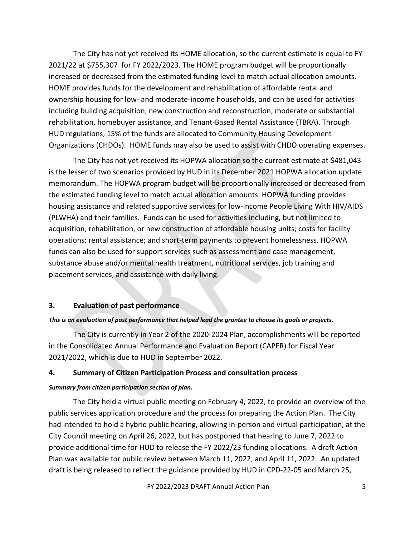The City has not yet received its HOME allocation, so the current estimate is equal to FY 2021/22 at \$755,307 for FY 2022/2023. The HOME program budget will be proportionally increased or decreased from the estimated funding level to match actual allocation amounts. HOME provides funds for the development and rehabilitation of affordable rental and ownership housing for low- and moderate-income households, and can be used for activities including building acquisition, new construction and reconstruction, moderate or substantial rehabilitation, homebuyer assistance, and Tenant-Based Rental Assistance (TBRA). Through HUD regulations, 15% of the funds are allocated to Community Housing Development Organizations (CHDOs). HOME funds may also be used to assist with CHDO operating expenses.

The City has not yet received its HOPWA allocation so the current estimate at \$481,043 is the lesser of two scenarios provided by HUD in its December 2021 HOPWA allocation update memorandum. The HOPWA program budget will be proportionally increased or decreased from the estimated funding level to match actual allocation amounts. HOPWA funding provides housing assistance and related supportive services for low-income People Living With HIV/AIDS (PLWHA) and their families. Funds can be used for activities including, but not limited to acquisition, rehabilitation, or new construction of affordable housing units; costs for facility operations; rental assistance; and short-term payments to prevent homelessness. HOPWA funds can also be used for support services such as assessment and case management, substance abuse and/or mental health treatment, nutritional services, job training and placement services, and assistance with daily living.

### **3. Evaluation of past performance**

### *This is an evaluation of past performance that helped lead the grantee to choose its goals or projects.*

The City is currently in Year 2 of the 2020-2024 Plan, accomplishments will be reported in the Consolidated Annual Performance and Evaluation Report (CAPER) for Fiscal Year 2021/2022, which is due to HUD in September 2022.

### **4. Summary of Citizen Participation Process and consultation process**

### *Summary from citizen participation section of plan.*

The City held a virtual public meeting on February 4, 2022, to provide an overview of the public services application procedure and the process for preparing the Action Plan. The City had intended to hold a hybrid public hearing, allowing in-person and virtual participation, at the City Council meeting on April 26, 2022, but has postponed that hearing to June 7, 2022 to provide additional time for HUD to release the FY 2022/23 funding allocations. A draft Action Plan was available for public review between March 11, 2022, and April 11, 2022. An updated draft is being released to reflect the guidance provided by HUD in CPD-22-05 and March 25,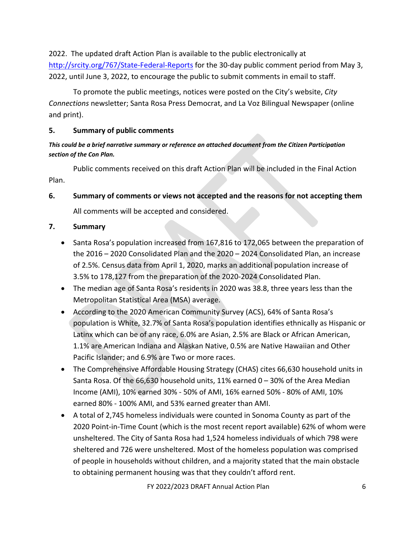2022. The updated draft Action Plan is available to the public electronically at <http://srcity.org/767/State-Federal-Reports> for the 30-day public comment period from May 3, 2022, until June 3, 2022, to encourage the public to submit comments in email to staff.

To promote the public meetings, notices were posted on the City's website, *City Connections* newsletter; Santa Rosa Press Democrat, and La Voz Bilingual Newspaper (online and print).

## **5. Summary of public comments**

## *This could be a brief narrative summary or reference an attached document from the Citizen Participation section of the Con Plan.*

Public comments received on this draft Action Plan will be included in the Final Action Plan.

# **6. Summary of comments or views not accepted and the reasons for not accepting them**

All comments will be accepted and considered.

# **7. Summary**

- Santa Rosa's population increased from 167,816 to 172,065 between the preparation of the 2016 – 2020 Consolidated Plan and the 2020 – 2024 Consolidated Plan, an increase of 2.5%. Census data from April 1, 2020, marks an additional population increase of 3.5% to 178,127 from the preparation of the 2020-2024 Consolidated Plan.
- The median age of Santa Rosa's residents in 2020 was 38.8, three years less than the Metropolitan Statistical Area (MSA) average.
- According to the 2020 American Community Survey (ACS), 64% of Santa Rosa's population is White, 32.7% of Santa Rosa's population identifies ethnically as Hispanic or Latinx which can be of any race, 6.0% are Asian, 2.5% are Black or African American, 1.1% are American Indiana and Alaskan Native, 0.5% are Native Hawaiian and Other Pacific Islander; and 6.9% are Two or more races.
- The Comprehensive Affordable Housing Strategy (CHAS) cites 66,630 household units in Santa Rosa. Of the 66,630 household units, 11% earned  $0 - 30%$  of the Area Median Income (AMI), 10% earned 30% - 50% of AMI, 16% earned 50% - 80% of AMI, 10% earned 80% - 100% AMI, and 53% earned greater than AMI.
- A total of 2,745 homeless individuals were counted in Sonoma County as part of the 2020 Point-in-Time Count (which is the most recent report available) 62% of whom were unsheltered. The City of Santa Rosa had 1,524 homeless individuals of which 798 were sheltered and 726 were unsheltered. Most of the homeless population was comprised of people in households without children, and a majority stated that the main obstacle to obtaining permanent housing was that they couldn't afford rent.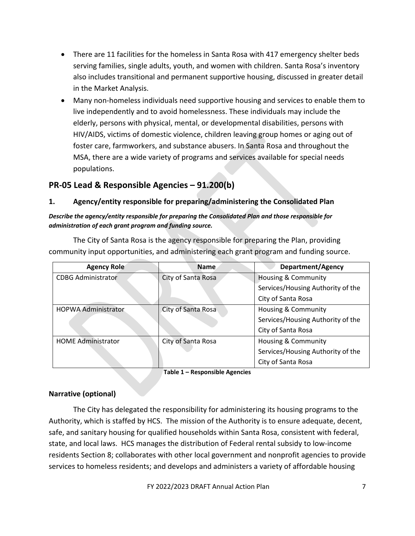- There are 11 facilities for the homeless in Santa Rosa with 417 emergency shelter beds serving families, single adults, youth, and women with children. Santa Rosa's inventory also includes transitional and permanent supportive housing, discussed in greater detail in the Market Analysis.
- Many non-homeless individuals need supportive housing and services to enable them to live independently and to avoid homelessness. These individuals may include the elderly, persons with physical, mental, or developmental disabilities, persons with HIV/AIDS, victims of domestic violence, children leaving group homes or aging out of foster care, farmworkers, and substance abusers. In Santa Rosa and throughout the MSA, there are a wide variety of programs and services available for special needs populations.

# **PR-05 Lead & Responsible Agencies – 91.200(b)**

### **1. Agency/entity responsible for preparing/administering the Consolidated Plan**

### *Describe the agency/entity responsible for preparing the Consolidated Plan and those responsible for administration of each grant program and funding source.*

The City of Santa Rosa is the agency responsible for preparing the Plan, providing community input opportunities, and administering each grant program and funding source.

| <b>Agency Role</b>         | <b>Name</b>        | <b>Department/Agency</b>          |
|----------------------------|--------------------|-----------------------------------|
| <b>CDBG Administrator</b>  | City of Santa Rosa | <b>Housing &amp; Community</b>    |
|                            |                    | Services/Housing Authority of the |
|                            |                    | City of Santa Rosa                |
| <b>HOPWA Administrator</b> | City of Santa Rosa | <b>Housing &amp; Community</b>    |
|                            |                    | Services/Housing Authority of the |
|                            |                    | City of Santa Rosa                |
| <b>HOME Administrator</b>  | City of Santa Rosa | <b>Housing &amp; Community</b>    |
|                            |                    | Services/Housing Authority of the |
|                            |                    | City of Santa Rosa                |

**Table 1 – Responsible Agencies**

### **Narrative (optional)**

The City has delegated the responsibility for administering its housing programs to the Authority, which is staffed by HCS. The mission of the Authority is to ensure adequate, decent, safe, and sanitary housing for qualified households within Santa Rosa, consistent with federal, state, and local laws. HCS manages the distribution of Federal rental subsidy to low-income residents Section 8; collaborates with other local government and nonprofit agencies to provide services to homeless residents; and develops and administers a variety of affordable housing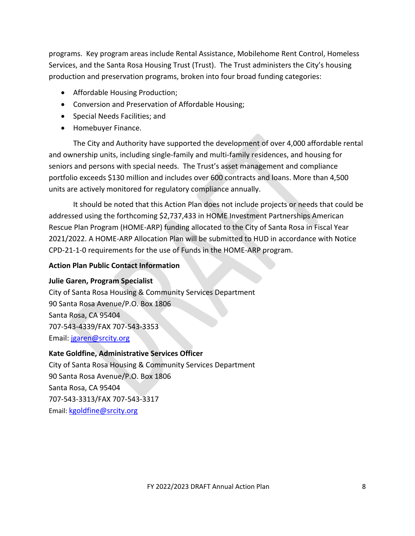programs. Key program areas include Rental Assistance, Mobilehome Rent Control, Homeless Services, and the Santa Rosa Housing Trust (Trust). The Trust administers the City's housing production and preservation programs, broken into four broad funding categories:

- Affordable Housing Production;
- Conversion and Preservation of Affordable Housing;
- Special Needs Facilities; and
- Homebuyer Finance.

The City and Authority have supported the development of over 4,000 affordable rental and ownership units, including single-family and multi-family residences, and housing for seniors and persons with special needs. The Trust's asset management and compliance portfolio exceeds \$130 million and includes over 600 contracts and loans. More than 4,500 units are actively monitored for regulatory compliance annually.

It should be noted that this Action Plan does not include projects or needs that could be addressed using the forthcoming \$2,737,433 in HOME Investment Partnerships American Rescue Plan Program (HOME-ARP) funding allocated to the City of Santa Rosa in Fiscal Year 2021/2022. A HOME-ARP Allocation Plan will be submitted to HUD in accordance with Notice CPD-21-1-0 requirements for the use of Funds in the HOME-ARP program.

## **Action Plan Public Contact Information**

## **Julie Garen, Program Specialist**

City of Santa Rosa Housing & Community Services Department 90 Santa Rosa Avenue/P.O. Box 1806 Santa Rosa, CA 95404 707-543-4339/FAX 707-543-3353 Email: [jgaren@srcity.org](mailto:jgaren@srcity.org)

## **Kate Goldfine, Administrative Services Officer**

City of Santa Rosa Housing & Community Services Department 90 Santa Rosa Avenue/P.O. Box 1806 Santa Rosa, CA 95404 707-543-3313/FAX 707-543-3317 Email: [kgoldfine@srcity.org](mailto:kgoldfine@srcity.org)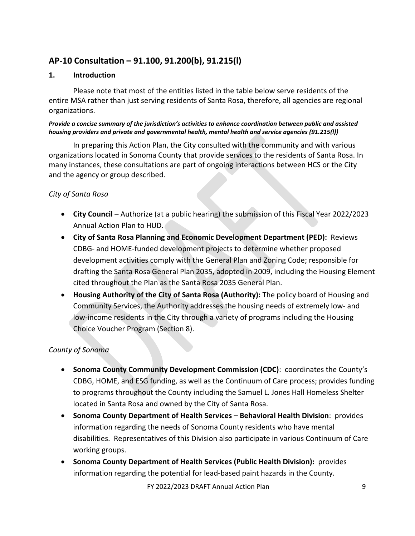# <span id="page-8-0"></span>**AP-10 Consultation – 91.100, 91.200(b), 91.215(l)**

#### **1. Introduction**

Please note that most of the entities listed in the table below serve residents of the entire MSA rather than just serving residents of Santa Rosa, therefore, all agencies are regional organizations.

#### *Provide a concise summary of the jurisdiction's activities to enhance coordination between public and assisted housing providers and private and governmental health, mental health and service agencies (91.215(l))*

In preparing this Action Plan, the City consulted with the community and with various organizations located in Sonoma County that provide services to the residents of Santa Rosa. In many instances, these consultations are part of ongoing interactions between HCS or the City and the agency or group described.

## *City of Santa Rosa*

- **City Council** Authorize (at a public hearing) the submission of this Fiscal Year 2022/2023 Annual Action Plan to HUD.
- **City of Santa Rosa Planning and Economic Development Department (PED):** Reviews CDBG- and HOME-funded development projects to determine whether proposed development activities comply with the General Plan and Zoning Code; responsible for drafting the Santa Rosa General Plan 2035, adopted in 2009, including the Housing Element cited throughout the Plan as the Santa Rosa 2035 General Plan.
- **Housing Authority of the City of Santa Rosa (Authority):** The policy board of Housing and Community Services, the Authority addresses the housing needs of extremely low- and low-income residents in the City through a variety of programs including the Housing Choice Voucher Program (Section 8).

## *County of Sonoma*

- **Sonoma County Community Development Commission (CDC)**: coordinates the County's CDBG, HOME, and ESG funding, as well as the Continuum of Care process; provides funding to programs throughout the County including the Samuel L. Jones Hall Homeless Shelter located in Santa Rosa and owned by the City of Santa Rosa.
- **Sonoma County Department of Health Services – Behavioral Health Division**: provides information regarding the needs of Sonoma County residents who have mental disabilities. Representatives of this Division also participate in various Continuum of Care working groups.
- **Sonoma County Department of Health Services (Public Health Division):** provides information regarding the potential for lead-based paint hazards in the County.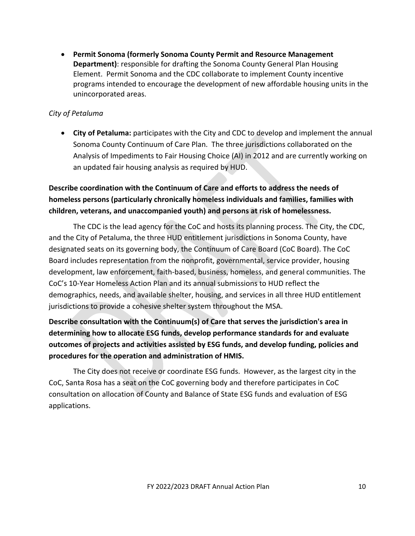• **Permit Sonoma (formerly Sonoma County Permit and Resource Management Department)**: responsible for drafting the Sonoma County General Plan Housing Element. Permit Sonoma and the CDC collaborate to implement County incentive programs intended to encourage the development of new affordable housing units in the unincorporated areas.

## *City of Petaluma*

• **City of Petaluma:** participates with the City and CDC to develop and implement the annual Sonoma County Continuum of Care Plan. The three jurisdictions collaborated on the Analysis of Impediments to Fair Housing Choice (AI) in 2012 and are currently working on an updated fair housing analysis as required by HUD.

**Describe coordination with the Continuum of Care and efforts to address the needs of homeless persons (particularly chronically homeless individuals and families, families with children, veterans, and unaccompanied youth) and persons at risk of homelessness.**

The CDC is the lead agency for the CoC and hosts its planning process. The City, the CDC, and the City of Petaluma, the three HUD entitlement jurisdictions in Sonoma County, have designated seats on its governing body, the Continuum of Care Board (CoC Board). The CoC Board includes representation from the nonprofit, governmental, service provider, housing development, law enforcement, faith-based, business, homeless, and general communities. The CoC's 10-Year Homeless Action Plan and its annual submissions to HUD reflect the demographics, needs, and available shelter, housing, and services in all three HUD entitlement jurisdictions to provide a cohesive shelter system throughout the MSA.

# **Describe consultation with the Continuum(s) of Care that serves the jurisdiction's area in determining how to allocate ESG funds, develop performance standards for and evaluate outcomes of projects and activities assisted by ESG funds, and develop funding, policies and procedures for the operation and administration of HMIS.**

The City does not receive or coordinate ESG funds. However, as the largest city in the CoC, Santa Rosa has a seat on the CoC governing body and therefore participates in CoC consultation on allocation of County and Balance of State ESG funds and evaluation of ESG applications.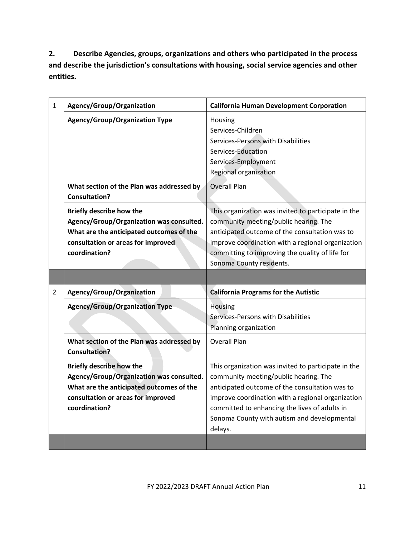**2. Describe Agencies, groups, organizations and others who participated in the process and describe the jurisdiction's consultations with housing, social service agencies and other entities.**

| $\mathbf{1}$   | Agency/Group/Organization                                                                                                                                                      | <b>California Human Development Corporation</b>                                                                                                                                                                                                                                                                |
|----------------|--------------------------------------------------------------------------------------------------------------------------------------------------------------------------------|----------------------------------------------------------------------------------------------------------------------------------------------------------------------------------------------------------------------------------------------------------------------------------------------------------------|
|                | <b>Agency/Group/Organization Type</b>                                                                                                                                          | Housing<br>Services-Children<br>Services-Persons with Disabilities<br>Services-Education<br>Services-Employment<br>Regional organization                                                                                                                                                                       |
|                | What section of the Plan was addressed by<br><b>Consultation?</b>                                                                                                              | <b>Overall Plan</b>                                                                                                                                                                                                                                                                                            |
|                | <b>Briefly describe how the</b><br>Agency/Group/Organization was consulted.<br>What are the anticipated outcomes of the<br>consultation or areas for improved<br>coordination? | This organization was invited to participate in the<br>community meeting/public hearing. The<br>anticipated outcome of the consultation was to<br>improve coordination with a regional organization<br>committing to improving the quality of life for<br>Sonoma County residents.                             |
|                |                                                                                                                                                                                |                                                                                                                                                                                                                                                                                                                |
| $\overline{2}$ | Agency/Group/Organization                                                                                                                                                      | <b>California Programs for the Autistic</b>                                                                                                                                                                                                                                                                    |
|                | <b>Agency/Group/Organization Type</b>                                                                                                                                          | <b>Housing</b><br>Services-Persons with Disabilities<br>Planning organization                                                                                                                                                                                                                                  |
|                | What section of the Plan was addressed by<br><b>Consultation?</b>                                                                                                              | <b>Overall Plan</b>                                                                                                                                                                                                                                                                                            |
|                | <b>Briefly describe how the</b><br>Agency/Group/Organization was consulted.<br>What are the anticipated outcomes of the<br>consultation or areas for improved<br>coordination? | This organization was invited to participate in the<br>community meeting/public hearing. The<br>anticipated outcome of the consultation was to<br>improve coordination with a regional organization<br>committed to enhancing the lives of adults in<br>Sonoma County with autism and developmental<br>delays. |
|                |                                                                                                                                                                                |                                                                                                                                                                                                                                                                                                                |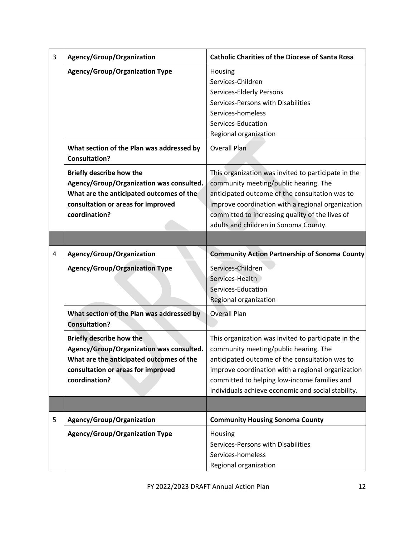| 3 | Agency/Group/Organization                                                                                                                                                      | <b>Catholic Charities of the Diocese of Santa Rosa</b>                                                                                                                                                                                                                                                    |
|---|--------------------------------------------------------------------------------------------------------------------------------------------------------------------------------|-----------------------------------------------------------------------------------------------------------------------------------------------------------------------------------------------------------------------------------------------------------------------------------------------------------|
|   | <b>Agency/Group/Organization Type</b>                                                                                                                                          | Housing<br>Services-Children<br>Services-Elderly Persons<br>Services-Persons with Disabilities<br>Services-homeless<br>Services-Education<br>Regional organization                                                                                                                                        |
|   | What section of the Plan was addressed by<br><b>Consultation?</b>                                                                                                              | <b>Overall Plan</b>                                                                                                                                                                                                                                                                                       |
|   | <b>Briefly describe how the</b><br>Agency/Group/Organization was consulted.<br>What are the anticipated outcomes of the<br>consultation or areas for improved<br>coordination? | This organization was invited to participate in the<br>community meeting/public hearing. The<br>anticipated outcome of the consultation was to<br>improve coordination with a regional organization<br>committed to increasing quality of the lives of<br>adults and children in Sonoma County.           |
|   |                                                                                                                                                                                |                                                                                                                                                                                                                                                                                                           |
| 4 | Agency/Group/Organization                                                                                                                                                      | <b>Community Action Partnership of Sonoma County</b>                                                                                                                                                                                                                                                      |
|   | <b>Agency/Group/Organization Type</b>                                                                                                                                          | Services-Children<br>Services-Health<br>Services-Education<br>Regional organization                                                                                                                                                                                                                       |
|   | What section of the Plan was addressed by<br><b>Consultation?</b>                                                                                                              | <b>Overall Plan</b>                                                                                                                                                                                                                                                                                       |
|   | <b>Briefly describe how the</b><br>Agency/Group/Organization was consulted.<br>What are the anticipated outcomes of the<br>consultation or areas for improved<br>coordination? | This organization was invited to participate in the<br>community meeting/public hearing. The<br>anticipated outcome of the consultation was to<br>improve coordination with a regional organization<br>committed to helping low-income families and<br>individuals achieve economic and social stability. |
|   |                                                                                                                                                                                |                                                                                                                                                                                                                                                                                                           |
| 5 | Agency/Group/Organization                                                                                                                                                      | <b>Community Housing Sonoma County</b>                                                                                                                                                                                                                                                                    |
|   | <b>Agency/Group/Organization Type</b>                                                                                                                                          | Housing<br>Services-Persons with Disabilities<br>Services-homeless<br>Regional organization                                                                                                                                                                                                               |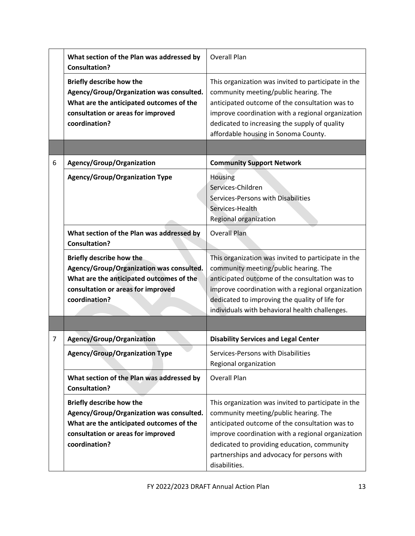|                | What section of the Plan was addressed by<br><b>Consultation?</b>                                                                                                              | <b>Overall Plan</b>                                                                                                                                                                                                                                                                                               |
|----------------|--------------------------------------------------------------------------------------------------------------------------------------------------------------------------------|-------------------------------------------------------------------------------------------------------------------------------------------------------------------------------------------------------------------------------------------------------------------------------------------------------------------|
|                | <b>Briefly describe how the</b><br>Agency/Group/Organization was consulted.<br>What are the anticipated outcomes of the<br>consultation or areas for improved<br>coordination? | This organization was invited to participate in the<br>community meeting/public hearing. The<br>anticipated outcome of the consultation was to<br>improve coordination with a regional organization<br>dedicated to increasing the supply of quality<br>affordable housing in Sonoma County.                      |
|                |                                                                                                                                                                                |                                                                                                                                                                                                                                                                                                                   |
| 6              | Agency/Group/Organization                                                                                                                                                      | <b>Community Support Network</b>                                                                                                                                                                                                                                                                                  |
|                | <b>Agency/Group/Organization Type</b>                                                                                                                                          | Housing<br>Services-Children<br>Services-Persons with Disabilities<br>Services-Health<br>Regional organization                                                                                                                                                                                                    |
|                | What section of the Plan was addressed by<br><b>Consultation?</b>                                                                                                              | <b>Overall Plan</b>                                                                                                                                                                                                                                                                                               |
|                | <b>Briefly describe how the</b><br>Agency/Group/Organization was consulted.<br>What are the anticipated outcomes of the<br>consultation or areas for improved<br>coordination? | This organization was invited to participate in the<br>community meeting/public hearing. The<br>anticipated outcome of the consultation was to<br>improve coordination with a regional organization<br>dedicated to improving the quality of life for<br>individuals with behavioral health challenges.           |
|                |                                                                                                                                                                                |                                                                                                                                                                                                                                                                                                                   |
| $\overline{7}$ | <b>Agency/Group/Organization</b>                                                                                                                                               | <b>Disability Services and Legal Center</b>                                                                                                                                                                                                                                                                       |
|                | <b>Agency/Group/Organization Type</b>                                                                                                                                          | Services-Persons with Disabilities<br>Regional organization                                                                                                                                                                                                                                                       |
|                | What section of the Plan was addressed by<br><b>Consultation?</b>                                                                                                              | <b>Overall Plan</b>                                                                                                                                                                                                                                                                                               |
|                | <b>Briefly describe how the</b><br>Agency/Group/Organization was consulted.<br>What are the anticipated outcomes of the<br>consultation or areas for improved<br>coordination? | This organization was invited to participate in the<br>community meeting/public hearing. The<br>anticipated outcome of the consultation was to<br>improve coordination with a regional organization<br>dedicated to providing education, community<br>partnerships and advocacy for persons with<br>disabilities. |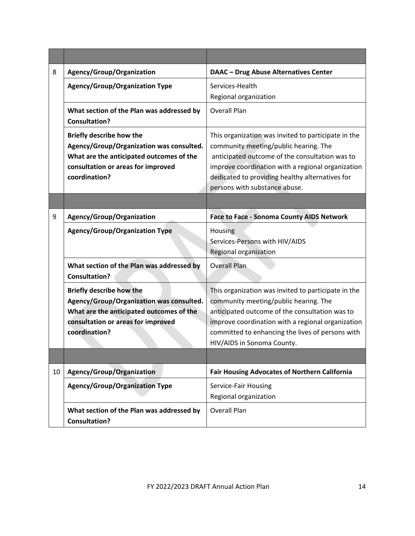| 8  | Agency/Group/Organization                                                                                                                                                      | <b>DAAC - Drug Abuse Alternatives Center</b>                                                                                                                                                                                                                                            |  |
|----|--------------------------------------------------------------------------------------------------------------------------------------------------------------------------------|-----------------------------------------------------------------------------------------------------------------------------------------------------------------------------------------------------------------------------------------------------------------------------------------|--|
|    | <b>Agency/Group/Organization Type</b>                                                                                                                                          | Services-Health<br>Regional organization                                                                                                                                                                                                                                                |  |
|    | What section of the Plan was addressed by<br><b>Consultation?</b>                                                                                                              | <b>Overall Plan</b>                                                                                                                                                                                                                                                                     |  |
|    | <b>Briefly describe how the</b><br>Agency/Group/Organization was consulted.<br>What are the anticipated outcomes of the<br>consultation or areas for improved<br>coordination? | This organization was invited to participate in the<br>community meeting/public hearing. The<br>anticipated outcome of the consultation was to<br>improve coordination with a regional organization<br>dedicated to providing healthy alternatives for<br>persons with substance abuse. |  |
| 9  | Agency/Group/Organization                                                                                                                                                      | <b>Face to Face - Sonoma County AIDS Network</b>                                                                                                                                                                                                                                        |  |
|    | <b>Agency/Group/Organization Type</b>                                                                                                                                          | Housing<br>Services-Persons with HIV/AIDS<br>Regional organization                                                                                                                                                                                                                      |  |
|    | What section of the Plan was addressed by<br><b>Consultation?</b>                                                                                                              | <b>Overall Plan</b>                                                                                                                                                                                                                                                                     |  |
|    | <b>Briefly describe how the</b><br>Agency/Group/Organization was consulted.<br>What are the anticipated outcomes of the<br>consultation or areas for improved<br>coordination? | This organization was invited to participate in the<br>community meeting/public hearing. The<br>anticipated outcome of the consultation was to<br>improve coordination with a regional organization<br>committed to enhancing the lives of persons with<br>HIV/AIDS in Sonoma County.   |  |
| 10 | Agency/Group/Organization                                                                                                                                                      | <b>Fair Housing Advocates of Northern California</b>                                                                                                                                                                                                                                    |  |
|    | <b>Agency/Group/Organization Type</b>                                                                                                                                          | Service-Fair Housing<br>Regional organization                                                                                                                                                                                                                                           |  |
|    | What section of the Plan was addressed by<br><b>Consultation?</b>                                                                                                              | <b>Overall Plan</b>                                                                                                                                                                                                                                                                     |  |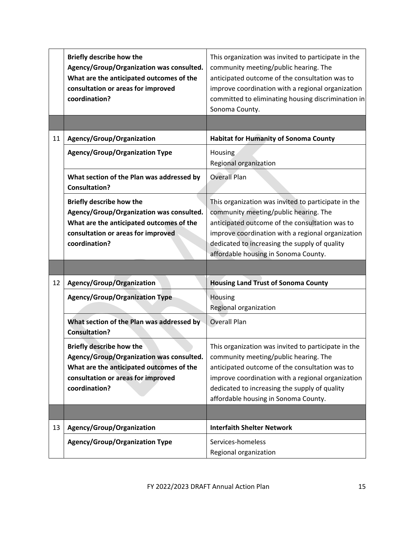|    | <b>Briefly describe how the</b><br>Agency/Group/Organization was consulted.<br>What are the anticipated outcomes of the<br>consultation or areas for improved<br>coordination? | This organization was invited to participate in the<br>community meeting/public hearing. The<br>anticipated outcome of the consultation was to<br>improve coordination with a regional organization<br>committed to eliminating housing discrimination in<br>Sonoma County.                  |
|----|--------------------------------------------------------------------------------------------------------------------------------------------------------------------------------|----------------------------------------------------------------------------------------------------------------------------------------------------------------------------------------------------------------------------------------------------------------------------------------------|
| 11 | Agency/Group/Organization                                                                                                                                                      | <b>Habitat for Humanity of Sonoma County</b>                                                                                                                                                                                                                                                 |
|    | <b>Agency/Group/Organization Type</b>                                                                                                                                          | <b>Housing</b><br>Regional organization                                                                                                                                                                                                                                                      |
|    | What section of the Plan was addressed by<br><b>Consultation?</b>                                                                                                              | <b>Overall Plan</b>                                                                                                                                                                                                                                                                          |
|    | Briefly describe how the<br>Agency/Group/Organization was consulted.<br>What are the anticipated outcomes of the<br>consultation or areas for improved<br>coordination?        | This organization was invited to participate in the<br>community meeting/public hearing. The<br>anticipated outcome of the consultation was to<br>improve coordination with a regional organization<br>dedicated to increasing the supply of quality<br>affordable housing in Sonoma County. |
|    |                                                                                                                                                                                |                                                                                                                                                                                                                                                                                              |
| 12 | Agency/Group/Organization                                                                                                                                                      | <b>Housing Land Trust of Sonoma County</b>                                                                                                                                                                                                                                                   |
|    | <b>Agency/Group/Organization Type</b>                                                                                                                                          | Housing<br>Regional organization                                                                                                                                                                                                                                                             |
|    | What section of the Plan was addressed by<br><b>Consultation?</b>                                                                                                              | <b>Overall Plan</b>                                                                                                                                                                                                                                                                          |
|    | <b>Briefly describe how the</b><br>Agency/Group/Organization was consulted.<br>What are the anticipated outcomes of the<br>consultation or areas for improved<br>coordination? | This organization was invited to participate in the<br>community meeting/public hearing. The<br>anticipated outcome of the consultation was to<br>improve coordination with a regional organization<br>dedicated to increasing the supply of quality<br>affordable housing in Sonoma County. |
|    |                                                                                                                                                                                |                                                                                                                                                                                                                                                                                              |
| 13 | Agency/Group/Organization                                                                                                                                                      | <b>Interfaith Shelter Network</b>                                                                                                                                                                                                                                                            |
|    | Agency/Group/Organization Type                                                                                                                                                 | Services-homeless<br>Regional organization                                                                                                                                                                                                                                                   |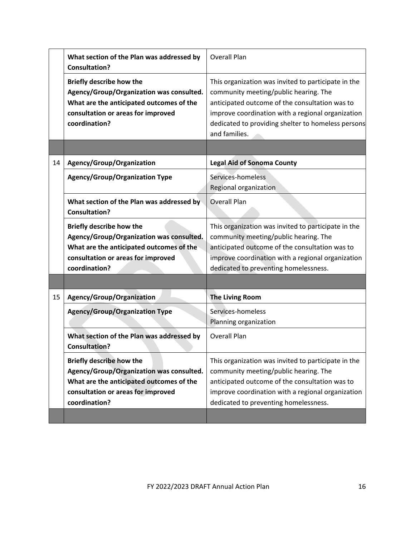|    | What section of the Plan was addressed by<br><b>Consultation?</b>                                                                                                              | <b>Overall Plan</b>                                                                                                                                                                                                                                                        |
|----|--------------------------------------------------------------------------------------------------------------------------------------------------------------------------------|----------------------------------------------------------------------------------------------------------------------------------------------------------------------------------------------------------------------------------------------------------------------------|
|    | <b>Briefly describe how the</b><br>Agency/Group/Organization was consulted.<br>What are the anticipated outcomes of the<br>consultation or areas for improved<br>coordination? | This organization was invited to participate in the<br>community meeting/public hearing. The<br>anticipated outcome of the consultation was to<br>improve coordination with a regional organization<br>dedicated to providing shelter to homeless persons<br>and families. |
| 14 | Agency/Group/Organization                                                                                                                                                      | <b>Legal Aid of Sonoma County</b>                                                                                                                                                                                                                                          |
|    | <b>Agency/Group/Organization Type</b>                                                                                                                                          | Services-homeless<br>Regional organization                                                                                                                                                                                                                                 |
|    | What section of the Plan was addressed by<br><b>Consultation?</b>                                                                                                              | <b>Overall Plan</b>                                                                                                                                                                                                                                                        |
|    | <b>Briefly describe how the</b><br>Agency/Group/Organization was consulted.<br>What are the anticipated outcomes of the<br>consultation or areas for improved<br>coordination? | This organization was invited to participate in the<br>community meeting/public hearing. The<br>anticipated outcome of the consultation was to<br>improve coordination with a regional organization<br>dedicated to preventing homelessness.                               |
| 15 | Agency/Group/Organization                                                                                                                                                      | <b>The Living Room</b>                                                                                                                                                                                                                                                     |
|    | <b>Agency/Group/Organization Type</b>                                                                                                                                          | Services-homeless<br>Planning organization                                                                                                                                                                                                                                 |
|    | What section of the Plan was addressed by<br><b>Consultation?</b>                                                                                                              | <b>Overall Plan</b>                                                                                                                                                                                                                                                        |
|    | <b>Briefly describe how the</b><br>Agency/Group/Organization was consulted.<br>What are the anticipated outcomes of the<br>consultation or areas for improved<br>coordination? | This organization was invited to participate in the<br>community meeting/public hearing. The<br>anticipated outcome of the consultation was to<br>improve coordination with a regional organization<br>dedicated to preventing homelessness.                               |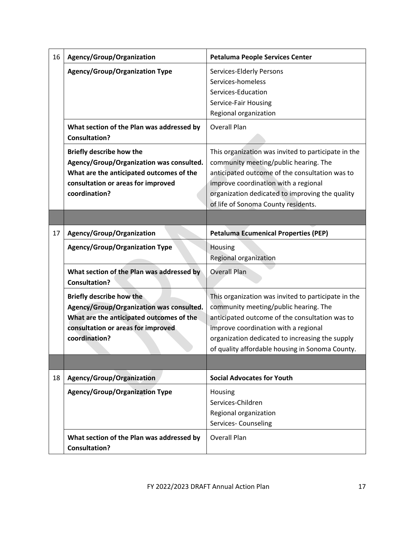| 16 | Agency/Group/Organization                                         | <b>Petaluma People Services Center</b>              |  |
|----|-------------------------------------------------------------------|-----------------------------------------------------|--|
|    | <b>Agency/Group/Organization Type</b>                             | <b>Services-Elderly Persons</b>                     |  |
|    |                                                                   | Services-homeless                                   |  |
|    |                                                                   | Services-Education                                  |  |
|    |                                                                   | Service-Fair Housing                                |  |
|    |                                                                   | Regional organization                               |  |
|    | What section of the Plan was addressed by                         | Overall Plan                                        |  |
|    | <b>Consultation?</b>                                              |                                                     |  |
|    | <b>Briefly describe how the</b>                                   | This organization was invited to participate in the |  |
|    | Agency/Group/Organization was consulted.                          | community meeting/public hearing. The               |  |
|    | What are the anticipated outcomes of the                          | anticipated outcome of the consultation was to      |  |
|    | consultation or areas for improved                                | improve coordination with a regional                |  |
|    | coordination?                                                     | organization dedicated to improving the quality     |  |
|    |                                                                   | of life of Sonoma County residents.                 |  |
|    |                                                                   |                                                     |  |
| 17 | Agency/Group/Organization                                         | <b>Petaluma Ecumenical Properties (PEP)</b>         |  |
|    | <b>Agency/Group/Organization Type</b>                             | Housing                                             |  |
|    |                                                                   | Regional organization                               |  |
|    | What section of the Plan was addressed by<br><b>Consultation?</b> | <b>Overall Plan</b>                                 |  |
|    | <b>Briefly describe how the</b>                                   | This organization was invited to participate in the |  |
|    | Agency/Group/Organization was consulted.                          | community meeting/public hearing. The               |  |
|    | What are the anticipated outcomes of the                          | anticipated outcome of the consultation was to      |  |
|    | consultation or areas for improved                                | improve coordination with a regional                |  |
|    | coordination?                                                     | organization dedicated to increasing the supply     |  |
|    |                                                                   | of quality affordable housing in Sonoma County.     |  |
|    |                                                                   |                                                     |  |
| 18 | Agency/Group/Organization                                         | <b>Social Advocates for Youth</b>                   |  |
|    | <b>Agency/Group/Organization Type</b>                             | Housing                                             |  |
|    |                                                                   | Services-Children                                   |  |
|    |                                                                   | Regional organization                               |  |
|    |                                                                   | Services- Counseling                                |  |
|    | What section of the Plan was addressed by                         | <b>Overall Plan</b>                                 |  |
|    | <b>Consultation?</b>                                              |                                                     |  |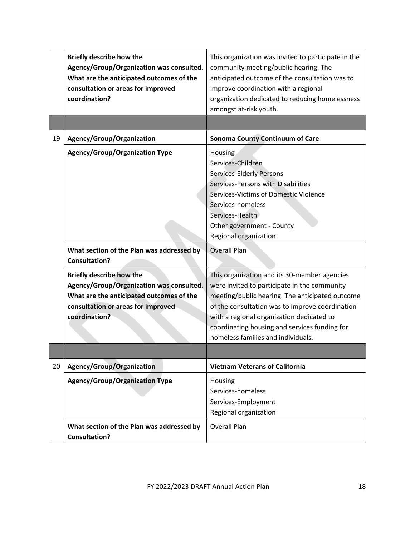|    | <b>Briefly describe how the</b><br>Agency/Group/Organization was consulted.<br>What are the anticipated outcomes of the<br>consultation or areas for improved<br>coordination? | This organization was invited to participate in the<br>community meeting/public hearing. The<br>anticipated outcome of the consultation was to<br>improve coordination with a regional<br>organization dedicated to reducing homelessness<br>amongst at-risk youth.                                                                    |
|----|--------------------------------------------------------------------------------------------------------------------------------------------------------------------------------|----------------------------------------------------------------------------------------------------------------------------------------------------------------------------------------------------------------------------------------------------------------------------------------------------------------------------------------|
|    |                                                                                                                                                                                |                                                                                                                                                                                                                                                                                                                                        |
| 19 | Agency/Group/Organization                                                                                                                                                      | <b>Sonoma County Continuum of Care</b>                                                                                                                                                                                                                                                                                                 |
|    | <b>Agency/Group/Organization Type</b>                                                                                                                                          | Housing<br>Services-Children<br>Services-Elderly Persons<br>Services-Persons with Disabilities<br>Services-Victims of Domestic Violence<br>Services-homeless<br>Services-Health<br>Other government - County<br>Regional organization                                                                                                  |
|    | What section of the Plan was addressed by<br><b>Consultation?</b>                                                                                                              | Overall Plan                                                                                                                                                                                                                                                                                                                           |
|    | <b>Briefly describe how the</b><br>Agency/Group/Organization was consulted.<br>What are the anticipated outcomes of the<br>consultation or areas for improved<br>coordination? | This organization and its 30-member agencies<br>were invited to participate in the community<br>meeting/public hearing. The anticipated outcome<br>of the consultation was to improve coordination<br>with a regional organization dedicated to<br>coordinating housing and services funding for<br>homeless families and individuals. |
| 20 | Agency/Group/Organization                                                                                                                                                      | <b>Vietnam Veterans of California</b>                                                                                                                                                                                                                                                                                                  |
|    | <b>Agency/Group/Organization Type</b>                                                                                                                                          | Housing<br>Services-homeless<br>Services-Employment<br>Regional organization                                                                                                                                                                                                                                                           |
|    | What section of the Plan was addressed by<br><b>Consultation?</b>                                                                                                              | <b>Overall Plan</b>                                                                                                                                                                                                                                                                                                                    |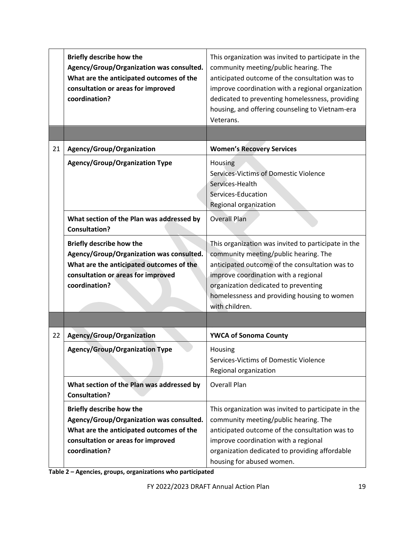|    | <b>Briefly describe how the</b><br>Agency/Group/Organization was consulted.<br>What are the anticipated outcomes of the<br>consultation or areas for improved<br>coordination? | This organization was invited to participate in the<br>community meeting/public hearing. The<br>anticipated outcome of the consultation was to<br>improve coordination with a regional organization<br>dedicated to preventing homelessness, providing<br>housing, and offering counseling to Vietnam-era<br>Veterans. |
|----|--------------------------------------------------------------------------------------------------------------------------------------------------------------------------------|------------------------------------------------------------------------------------------------------------------------------------------------------------------------------------------------------------------------------------------------------------------------------------------------------------------------|
|    |                                                                                                                                                                                |                                                                                                                                                                                                                                                                                                                        |
| 21 | Agency/Group/Organization                                                                                                                                                      | <b>Women's Recovery Services</b>                                                                                                                                                                                                                                                                                       |
|    | <b>Agency/Group/Organization Type</b>                                                                                                                                          | Housing<br><b>Services-Victims of Domestic Violence</b><br>Services-Health<br>Services-Education<br>Regional organization                                                                                                                                                                                              |
|    | What section of the Plan was addressed by<br><b>Consultation?</b>                                                                                                              | <b>Overall Plan</b>                                                                                                                                                                                                                                                                                                    |
|    | <b>Briefly describe how the</b><br>Agency/Group/Organization was consulted.<br>What are the anticipated outcomes of the<br>consultation or areas for improved<br>coordination? | This organization was invited to participate in the<br>community meeting/public hearing. The<br>anticipated outcome of the consultation was to<br>improve coordination with a regional<br>organization dedicated to preventing<br>homelessness and providing housing to women<br>with children.                        |
|    |                                                                                                                                                                                |                                                                                                                                                                                                                                                                                                                        |
| 22 | <b>Agency/Group/Organization</b>                                                                                                                                               | <b>YWCA of Sonoma County</b>                                                                                                                                                                                                                                                                                           |
|    | <b>Agency/Group/Organization Type</b>                                                                                                                                          | Housing<br>Services-Victims of Domestic Violence<br>Regional organization                                                                                                                                                                                                                                              |
|    | What section of the Plan was addressed by<br><b>Consultation?</b>                                                                                                              | <b>Overall Plan</b>                                                                                                                                                                                                                                                                                                    |
|    | <b>Briefly describe how the</b><br>Agency/Group/Organization was consulted.<br>What are the anticipated outcomes of the<br>consultation or areas for improved<br>coordination? | This organization was invited to participate in the<br>community meeting/public hearing. The<br>anticipated outcome of the consultation was to<br>improve coordination with a regional<br>organization dedicated to providing affordable<br>housing for abused women.                                                  |

**Table 2 – Agencies, groups, organizations who participated**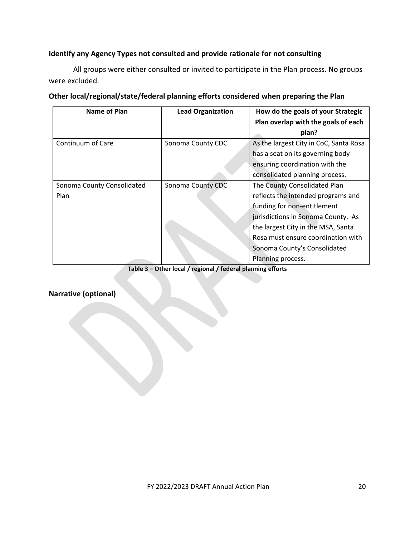### **Identify any Agency Types not consulted and provide rationale for not consulting**

All groups were either consulted or invited to participate in the Plan process. No groups were excluded.

| Name of Plan               | <b>Lead Organization</b> | How do the goals of your Strategic<br>Plan overlap with the goals of each<br>plan? |
|----------------------------|--------------------------|------------------------------------------------------------------------------------|
| Continuum of Care          | Sonoma County CDC        | As the largest City in CoC, Santa Rosa                                             |
|                            |                          | has a seat on its governing body                                                   |
|                            |                          | ensuring coordination with the                                                     |
|                            |                          | consolidated planning process.                                                     |
| Sonoma County Consolidated | Sonoma County CDC        | The County Consolidated Plan                                                       |
| Plan                       |                          | reflects the intended programs and                                                 |
|                            |                          | funding for non-entitlement                                                        |
|                            |                          | jurisdictions in Sonoma County. As                                                 |
|                            |                          | the largest City in the MSA, Santa                                                 |
|                            |                          | Rosa must ensure coordination with                                                 |
|                            |                          | Sonoma County's Consolidated                                                       |
|                            |                          | Planning process.                                                                  |

#### **Other local/regional/state/federal planning efforts considered when preparing the Plan**

**Table 3 – Other local / regional / federal planning efforts**

## **Narrative (optional)**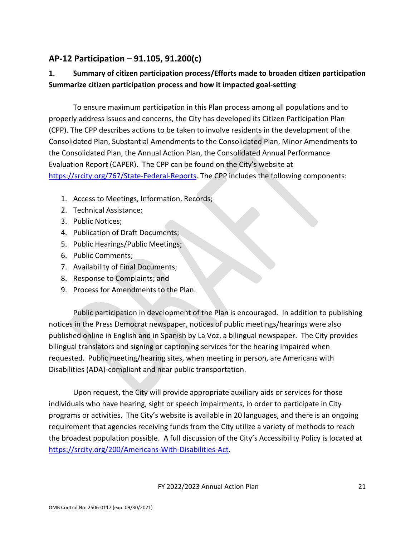# <span id="page-20-0"></span>**AP-12 Participation – 91.105, 91.200(c)**

# **1. Summary of citizen participation process/Efforts made to broaden citizen participation Summarize citizen participation process and how it impacted goal-setting**

To ensure maximum participation in this Plan process among all populations and to properly address issues and concerns, the City has developed its Citizen Participation Plan (CPP). The CPP describes actions to be taken to involve residents in the development of the Consolidated Plan, Substantial Amendments to the Consolidated Plan, Minor Amendments to the Consolidated Plan, the Annual Action Plan, the Consolidated Annual Performance Evaluation Report (CAPER). The CPP can be found on the City's website at [https://srcity.org/767/State-Federal-Reports.](https://srcity.org/767/State-Federal-Reports) The CPP includes the following components:

- 1. Access to Meetings, Information, Records;
- 2. Technical Assistance;
- 3. Public Notices;
- 4. Publication of Draft Documents;
- 5. Public Hearings/Public Meetings;
- 6. Public Comments;
- 7. Availability of Final Documents;
- 8. Response to Complaints; and
- 9. Process for Amendments to the Plan.

Public participation in development of the Plan is encouraged. In addition to publishing notices in the Press Democrat newspaper, notices of public meetings/hearings were also published online in English and in Spanish by La Voz, a bilingual newspaper. The City provides bilingual translators and signing or captioning services for the hearing impaired when requested. Public meeting/hearing sites, when meeting in person, are Americans with Disabilities (ADA)-compliant and near public transportation.

Upon request, the City will provide appropriate auxiliary aids or services for those individuals who have hearing, sight or speech impairments, in order to participate in City programs or activities. The City's website is available in 20 languages, and there is an ongoing requirement that agencies receiving funds from the City utilize a variety of methods to reach the broadest population possible. A full discussion of the City's Accessibility Policy is located at [https://srcity.org/200/Americans-With-Disabilities-Act.](https://srcity.org/200/Americans-With-Disabilities-Act)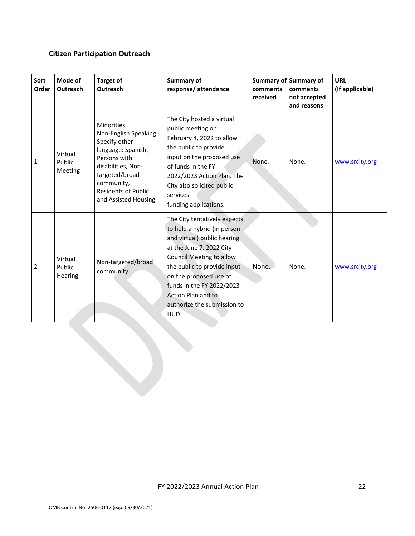# **Citizen Participation Outreach**

| Sort<br>Order | Mode of<br>Outreach                 | <b>Target of</b><br>Outreach                                                                                                                                                                             | Summary of<br>response/attendance                                                                                                                                                                                                                                                                            | comments<br>received | <b>Summary of Summary of</b><br>comments<br>not accepted<br>and reasons | URL<br>(If applicable) |
|---------------|-------------------------------------|----------------------------------------------------------------------------------------------------------------------------------------------------------------------------------------------------------|--------------------------------------------------------------------------------------------------------------------------------------------------------------------------------------------------------------------------------------------------------------------------------------------------------------|----------------------|-------------------------------------------------------------------------|------------------------|
| 1             | Virtual<br>Public<br><b>Meeting</b> | Minorities,<br>Non-English Speaking -<br>Specify other<br>language: Spanish,<br>Persons with<br>disabilities, Non-<br>targeted/broad<br>community,<br><b>Residents of Public</b><br>and Assisted Housing | The City hosted a virtual<br>public meeting on<br>February 4, 2022 to allow<br>the public to provide<br>input on the proposed use<br>of funds in the FY<br>2022/2023 Action Plan. The<br>City also solicited public<br>services<br>funding applications.                                                     | None.                | None.                                                                   | www.srcity.org         |
| 2             | Virtual<br>Public<br>Hearing        | Non-targeted/broad<br>community                                                                                                                                                                          | The City tentatively expects<br>to hold a hybrid (in person<br>and virtual) public hearing<br>at the June 7, 2022 City<br><b>Council Meeting to allow</b><br>the public to provide input<br>on the proposed use of<br>funds in the FY 2022/2023<br>Action Plan and to<br>authorize the submission to<br>HUD. | None.                | None.                                                                   | www.srcity.org         |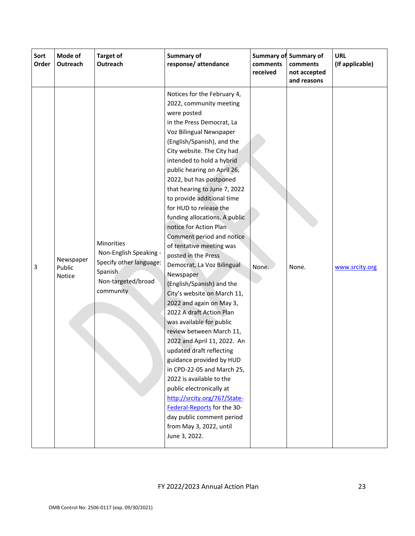| Sort<br>Order | Mode of<br>Outreach           | <b>Target of</b><br>Outreach                                                                                  | Summary of<br>response/attendance                                                                                                                                                                                                                                                                                                                                                                                                                                                                                                                                                                                                                                                                                                                                                                                                                                                                                                                                                                                                                               | comments<br>received | <b>Summary of Summary of</b><br>comments<br>not accepted<br>and reasons | <b>URL</b><br>(If applicable) |
|---------------|-------------------------------|---------------------------------------------------------------------------------------------------------------|-----------------------------------------------------------------------------------------------------------------------------------------------------------------------------------------------------------------------------------------------------------------------------------------------------------------------------------------------------------------------------------------------------------------------------------------------------------------------------------------------------------------------------------------------------------------------------------------------------------------------------------------------------------------------------------------------------------------------------------------------------------------------------------------------------------------------------------------------------------------------------------------------------------------------------------------------------------------------------------------------------------------------------------------------------------------|----------------------|-------------------------------------------------------------------------|-------------------------------|
| 3             | Newspaper<br>Public<br>Notice | Minorities<br>Non-English Speaking -<br>Specify other language:<br>Spanish<br>Non-targeted/broad<br>community | Notices for the February 4,<br>2022, community meeting<br>were posted<br>in the Press Democrat, La<br>Voz Bilingual Newspaper<br>(English/Spanish), and the<br>City website. The City had<br>intended to hold a hybrid<br>public hearing on April 26,<br>2022, but has postponed<br>that hearing to June 7, 2022<br>to provide additional time<br>for HUD to release the<br>funding allocations. A public<br>notice for Action Plan<br>Comment period and notice<br>of tentative meeting was<br>posted in the Press<br>Democrat, La Voz Bilingual<br>Newspaper<br>(English/Spanish) and the<br>City's website on March 11,<br>2022 and again on May 3,<br>2022 A draft Action Plan<br>was available for public<br>review between March 11,<br>2022 and April 11, 2022. An<br>updated draft reflecting<br>guidance provided by HUD<br>in CPD-22-05 and March 25,<br>2022 is available to the<br>public electronically at<br>http://srcity.org/767/State-<br>Federal-Reports for the 30-<br>day public comment period<br>from May 3, 2022, until<br>June 3, 2022. | None.                | None.                                                                   | www.srcity.org                |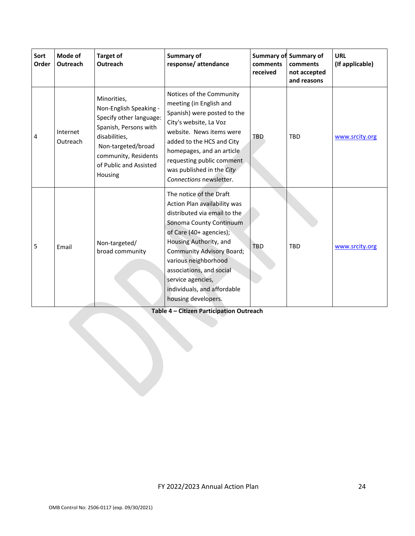| Sort<br>Order | Mode of<br>Outreach  | <b>Target of</b><br>Outreach                                                                                                                                                                  | Summary of<br>response/attendance                                                                                                                                                                                                                                                                                                          | <b>Summary of</b><br>comments<br>received | Summary of<br>comments<br>not accepted<br>and reasons | URL<br>(If applicable) |
|---------------|----------------------|-----------------------------------------------------------------------------------------------------------------------------------------------------------------------------------------------|--------------------------------------------------------------------------------------------------------------------------------------------------------------------------------------------------------------------------------------------------------------------------------------------------------------------------------------------|-------------------------------------------|-------------------------------------------------------|------------------------|
| 4             | Internet<br>Outreach | Minorities,<br>Non-English Speaking -<br>Specify other language:<br>Spanish, Persons with<br>disabilities,<br>Non-targeted/broad<br>community, Residents<br>of Public and Assisted<br>Housing | Notices of the Community<br>meeting (in English and<br>Spanish) were posted to the<br>City's website, La Voz<br>website. News items were<br>added to the HCS and City<br>homepages, and an article<br>requesting public comment<br>was published in the City<br>Connections newsletter.                                                    | <b>TBD</b>                                | <b>TBD</b>                                            | www.srcity.org         |
| 5             | Email                | Non-targeted/<br>broad community                                                                                                                                                              | The notice of the Draft<br>Action Plan availability was<br>distributed via email to the<br>Sonoma County Continuum<br>of Care (40+ agencies);<br>Housing Authority, and<br><b>Community Advisory Board;</b><br>various neighborhood<br>associations, and social<br>service agencies,<br>individuals, and affordable<br>housing developers. | <b>TBD</b>                                | <b>TBD</b>                                            | www.srcity.org         |

**Table 4 – Citizen Participation Outreach**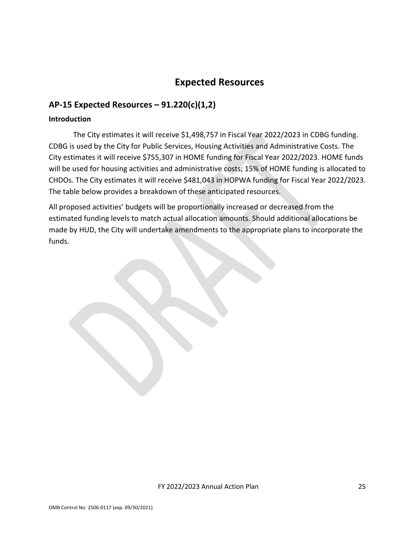# **Expected Resources**

# <span id="page-24-1"></span><span id="page-24-0"></span>**AP-15 Expected Resources – 91.220(c)(1,2)**

#### **Introduction**

The City estimates it will receive \$1,498,757 in Fiscal Year 2022/2023 in CDBG funding. CDBG is used by the City for Public Services, Housing Activities and Administrative Costs. The City estimates it will receive \$755,307 in HOME funding for Fiscal Year 2022/2023. HOME funds will be used for housing activities and administrative costs; 15% of HOME funding is allocated to CHDOs. The City estimates it will receive \$481,043 in HOPWA funding for Fiscal Year 2022/2023. The table below provides a breakdown of these anticipated resources.

All proposed activities' budgets will be proportionally increased or decreased from the estimated funding levels to match actual allocation amounts. Should additional allocations be made by HUD, the City will undertake amendments to the appropriate plans to incorporate the funds.

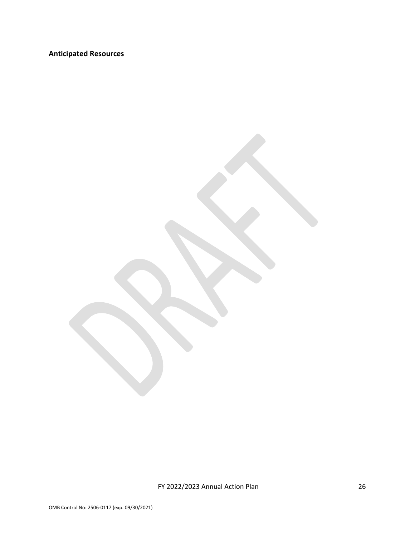# **Anticipated Resources**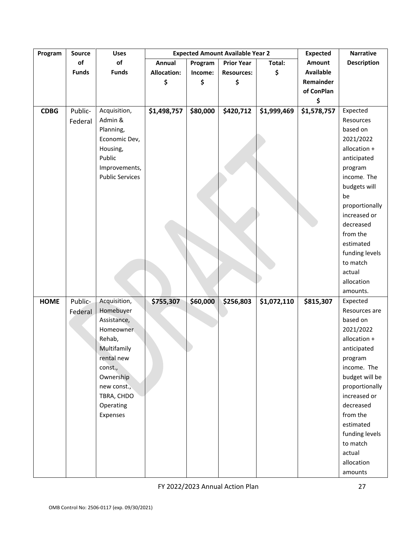| Program     | <b>Source</b> | <b>Uses</b>            |                    |          | <b>Expected Amount Available Year 2</b> |             | <b>Expected</b>  | <b>Narrative</b>   |
|-------------|---------------|------------------------|--------------------|----------|-----------------------------------------|-------------|------------------|--------------------|
|             | of            | of                     | Annual             | Program  | <b>Prior Year</b>                       | Total:      | Amount           | <b>Description</b> |
|             | <b>Funds</b>  | <b>Funds</b>           | <b>Allocation:</b> | Income:  | <b>Resources:</b>                       | \$          | <b>Available</b> |                    |
|             |               |                        | \$                 | \$       | \$                                      |             | Remainder        |                    |
|             |               |                        |                    |          |                                         |             | of ConPlan       |                    |
|             |               |                        |                    |          |                                         |             | \$               |                    |
| <b>CDBG</b> | Public-       | Acquisition,           | \$1,498,757        | \$80,000 | \$420,712                               | \$1,999,469 | \$1,578,757      | Expected           |
|             | Federal       | Admin &                |                    |          |                                         |             |                  | Resources          |
|             |               | Planning,              |                    |          |                                         |             |                  | based on           |
|             |               | Economic Dev,          |                    |          |                                         |             |                  | 2021/2022          |
|             |               | Housing,               |                    |          |                                         |             |                  | allocation +       |
|             |               | Public                 |                    |          |                                         |             |                  | anticipated        |
|             |               | Improvements,          |                    |          |                                         |             |                  | program            |
|             |               | <b>Public Services</b> |                    |          |                                         |             |                  | income. The        |
|             |               |                        |                    |          |                                         |             |                  | budgets will       |
|             |               |                        |                    |          |                                         |             |                  | be                 |
|             |               |                        |                    |          |                                         |             |                  | proportionally     |
|             |               |                        |                    |          |                                         |             |                  | increased or       |
|             |               |                        |                    |          |                                         |             |                  | decreased          |
|             |               |                        |                    |          |                                         |             |                  | from the           |
|             |               |                        |                    |          |                                         |             |                  | estimated          |
|             |               |                        |                    |          |                                         |             |                  | funding levels     |
|             |               |                        |                    |          |                                         |             |                  | to match           |
|             |               |                        |                    |          |                                         |             |                  | actual             |
|             |               |                        |                    |          |                                         |             |                  | allocation         |
|             |               |                        |                    |          |                                         |             |                  | amounts.           |
| <b>HOME</b> | Public-       | Acquisition,           | \$755,307          | \$60,000 | \$256,803                               | \$1,072,110 | \$815,307        | Expected           |
|             | Federal       | Homebuyer              |                    |          |                                         |             |                  | Resources are      |
|             |               | Assistance,            |                    |          |                                         |             |                  | based on           |
|             |               | Homeowner              |                    |          |                                         |             |                  | 2021/2022          |
|             |               | Rehab,                 |                    |          |                                         |             |                  | allocation +       |
|             |               | Multifamily            |                    |          |                                         |             |                  | anticipated        |
|             |               | rental new             |                    |          |                                         |             |                  | program            |
|             |               | const.,                |                    |          |                                         |             |                  | income. The        |
|             |               | Ownership              |                    |          |                                         |             |                  | budget will be     |
|             |               | new const.,            |                    |          |                                         |             |                  | proportionally     |
|             |               | TBRA, CHDO             |                    |          |                                         |             |                  | increased or       |
|             |               | Operating              |                    |          |                                         |             |                  | decreased          |
|             |               | Expenses               |                    |          |                                         |             |                  | from the           |
|             |               |                        |                    |          |                                         |             |                  | estimated          |
|             |               |                        |                    |          |                                         |             |                  | funding levels     |
|             |               |                        |                    |          |                                         |             |                  | to match           |
|             |               |                        |                    |          |                                         |             |                  | actual             |
|             |               |                        |                    |          |                                         |             |                  | allocation         |
|             |               |                        |                    |          |                                         |             |                  | amounts            |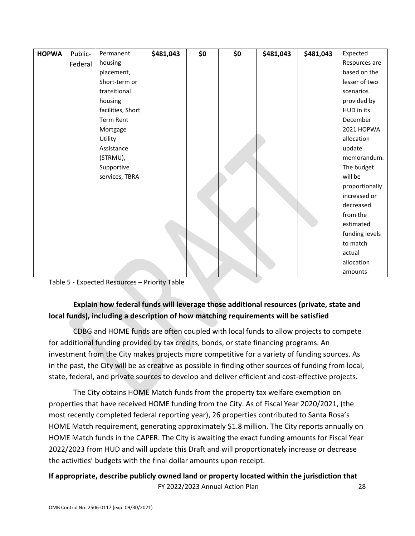| <b>HOPWA</b> | Public- | Permanent         | \$481,043 | \$0 | \$0 | \$481,043 | \$481,043 | Expected       |
|--------------|---------|-------------------|-----------|-----|-----|-----------|-----------|----------------|
|              | Federal | housing           |           |     |     |           |           | Resources are  |
|              |         | placement,        |           |     |     |           |           | based on the   |
|              |         | Short-term or     |           |     |     |           |           | lesser of two  |
|              |         | transitional      |           |     |     |           |           | scenarios      |
|              |         | housing           |           |     |     |           |           | provided by    |
|              |         | facilities, Short |           |     |     |           |           | HUD in its     |
|              |         | Term Rent         |           |     |     |           |           | December       |
|              |         | Mortgage          |           |     |     |           |           | 2021 HOPWA     |
|              |         | Utility           |           |     |     |           |           | allocation     |
|              |         | Assistance        |           |     |     |           |           | update         |
|              |         | (STRMU),          |           |     |     |           |           | memorandum.    |
|              |         | Supportive        |           |     |     |           |           | The budget     |
|              |         | services, TBRA    |           |     |     |           |           | will be        |
|              |         |                   |           |     |     |           |           | proportionally |
|              |         |                   |           |     |     |           |           | increased or   |
|              |         |                   |           |     |     |           |           | decreased      |
|              |         |                   |           |     |     |           |           | from the       |
|              |         |                   |           |     |     |           |           | estimated      |
|              |         |                   |           |     |     |           |           | funding levels |
|              |         |                   |           |     |     |           |           | to match       |
|              |         |                   |           |     |     |           |           | actual         |
|              |         |                   |           |     |     |           |           | allocation     |
|              |         |                   |           |     |     |           |           | amounts        |

Table 5 - Expected Resources – Priority Table

# **Explain how federal funds will leverage those additional resources (private, state and local funds), including a description of how matching requirements will be satisfied**

CDBG and HOME funds are often coupled with local funds to allow projects to compete for additional funding provided by tax credits, bonds, or state financing programs. An investment from the City makes projects more competitive for a variety of funding sources. As in the past, the City will be as creative as possible in finding other sources of funding from local, state, federal, and private sources to develop and deliver efficient and cost-effective projects.

The City obtains HOME Match funds from the property tax welfare exemption on properties that have received HOME funding from the City. As of Fiscal Year 2020/2021, (the most recently completed federal reporting year), 26 properties contributed to Santa Rosa's HOME Match requirement, generating approximately \$1.8 million. The City reports annually on HOME Match funds in the CAPER. The City is awaiting the exact funding amounts for Fiscal Year 2022/2023 from HUD and will update this Draft and will proportionately increase or decrease the activities' budgets with the final dollar amounts upon receipt.

## FY 2022/2023 Annual Action Plan 28 **If appropriate, describe publicly owned land or property located within the jurisdiction that**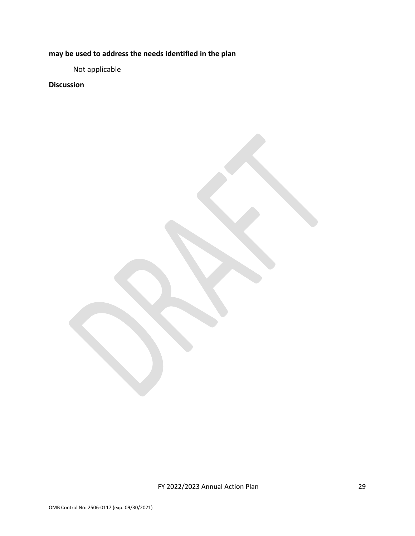**may be used to address the needs identified in the plan**

Not applicable

**Discussion**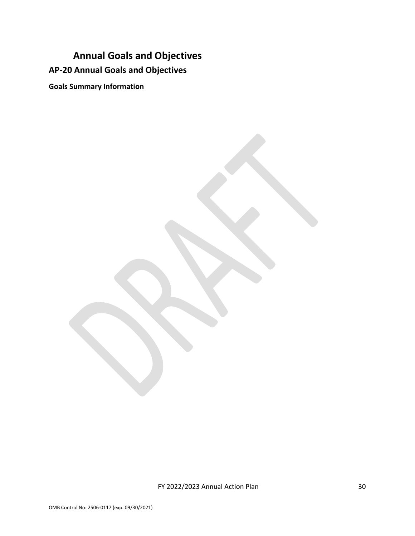# <span id="page-29-0"></span>**Annual Goals and Objectives AP-20 Annual Goals and Objectives**

**Goals Summary Information**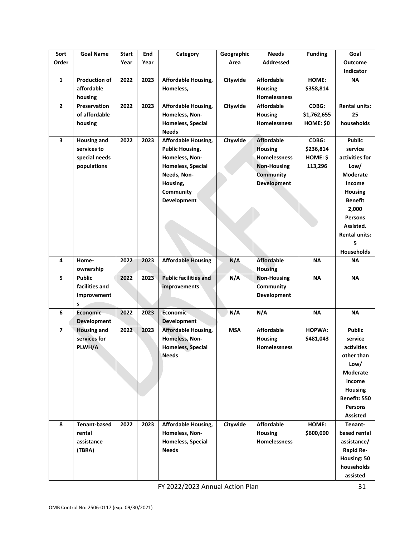| Sort                    | <b>Goal Name</b>     | Start | End  | Category                     | Geographic | <b>Needs</b>        | <b>Funding</b> | Goal                 |
|-------------------------|----------------------|-------|------|------------------------------|------------|---------------------|----------------|----------------------|
| Order                   |                      | Year  | Year |                              | Area       | <b>Addressed</b>    |                | <b>Outcome</b>       |
|                         |                      |       |      |                              |            |                     |                | <b>Indicator</b>     |
| $\mathbf{1}$            | <b>Production of</b> | 2022  | 2023 | <b>Affordable Housing,</b>   | Citywide   | <b>Affordable</b>   | HOME:          | ΝA                   |
|                         | affordable           |       |      | Homeless.                    |            | <b>Housing</b>      | \$358,814      |                      |
|                         | housing              |       |      |                              |            | <b>Homelessness</b> |                |                      |
| $\mathbf{2}$            | <b>Preservation</b>  | 2022  | 2023 | <b>Affordable Housing,</b>   | Citywide   | <b>Affordable</b>   | CDBG:          | <b>Rental units:</b> |
|                         | of affordable        |       |      | Homeless, Non-               |            | <b>Housing</b>      | \$1,762,655    | 25                   |
|                         | housing              |       |      | Homeless, Special            |            | <b>Homelessness</b> | HOME: \$0      | households           |
|                         |                      |       |      | <b>Needs</b>                 |            |                     |                |                      |
| $\overline{\mathbf{3}}$ | <b>Housing and</b>   | 2022  | 2023 | <b>Affordable Housing,</b>   | Citywide   | <b>Affordable</b>   | CDBG:          | <b>Public</b>        |
|                         | services to          |       |      | <b>Public Housing,</b>       |            | <b>Housing</b>      | \$236,814      | service              |
|                         | special needs        |       |      | Homeless, Non-               |            | Homelessness        | HOME: \$       | activities for       |
|                         | populations          |       |      | Homeless, Special            |            | <b>Non-Housing</b>  | 113,296        | Low/                 |
|                         |                      |       |      | Needs, Non-                  |            | <b>Community</b>    |                | Moderate             |
|                         |                      |       |      | Housing,                     |            | <b>Development</b>  |                | Income               |
|                         |                      |       |      | Community                    |            |                     |                | <b>Housing</b>       |
|                         |                      |       |      | <b>Development</b>           |            |                     |                | <b>Benefit</b>       |
|                         |                      |       |      |                              |            |                     |                | 2,000                |
|                         |                      |       |      |                              |            |                     |                | <b>Persons</b>       |
|                         |                      |       |      |                              |            |                     |                | Assisted.            |
|                         |                      |       |      |                              |            |                     |                | <b>Rental units:</b> |
|                         |                      |       |      |                              |            |                     |                | 5                    |
|                         |                      |       |      |                              |            |                     |                | Households           |
| 4                       | Home-                | 2022  | 2023 | <b>Affordable Housing</b>    | N/A        | <b>Affordable</b>   | <b>NA</b>      | ΝA                   |
|                         | ownership            |       |      |                              |            | <b>Housing</b>      |                |                      |
| 5                       | <b>Public</b>        | 2022  | 2023 | <b>Public facilities and</b> | N/A        | <b>Non-Housing</b>  | <b>NA</b>      | <b>NA</b>            |
|                         | facilities and       |       |      | improvements                 |            | Community           |                |                      |
|                         | improvement          |       |      |                              |            | <b>Development</b>  |                |                      |
|                         | s                    |       |      |                              |            |                     |                |                      |
| 6                       | Economic             | 2022  | 2023 | Economic                     | N/A        | N/A                 | ΝA             | <b>NA</b>            |
|                         | <b>Development</b>   |       |      | <b>Development</b>           |            |                     |                |                      |
| $\overline{ }$          | <b>Housing and</b>   | 2022  | 2023 | <b>Affordable Housing,</b>   | <b>MSA</b> | <b>Affordable</b>   | <b>HOPWA:</b>  | <b>Public</b>        |
|                         | services for         |       |      | Homeless, Non-               |            | <b>Housing</b>      | \$481,043      | service              |
|                         | PLWH/A               |       |      | Homeless, Special            |            | <b>Homelessness</b> |                | activities           |
|                         |                      |       |      | Needs                        |            |                     |                | other than           |
|                         |                      |       |      |                              |            |                     |                | Low/                 |
|                         |                      |       |      |                              |            |                     |                | <b>Moderate</b>      |
|                         |                      |       |      |                              |            |                     |                | income               |
|                         |                      |       |      |                              |            |                     |                | <b>Housing</b>       |
|                         |                      |       |      |                              |            |                     |                | Benefit: 550         |
|                         |                      |       |      |                              |            |                     |                | <b>Persons</b>       |
|                         |                      |       |      |                              |            |                     |                | <b>Assisted</b>      |
| 8                       | <b>Tenant-based</b>  | 2022  | 2023 | Affordable Housing,          | Citywide   | <b>Affordable</b>   | HOME:          | Tenant-              |
|                         | rental               |       |      | Homeless, Non-               |            | Housing             | \$600,000      | based rental         |
|                         | assistance           |       |      | Homeless, Special            |            | <b>Homelessness</b> |                | assistance/          |
|                         | (TBRA)               |       |      | <b>Needs</b>                 |            |                     |                | <b>Rapid Re-</b>     |
|                         |                      |       |      |                              |            |                     |                | Housing: 50          |
|                         |                      |       |      |                              |            |                     |                | households           |
|                         |                      |       |      |                              |            |                     |                | assisted             |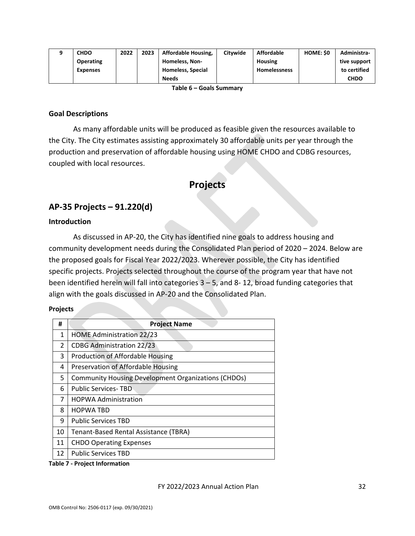|                 | <b>CHDO</b>      | 2022 | 2023 | <b>Affordable Housing,</b> | Citywide | <b>Affordable</b>   | HOME: \$0 | Administra-  |
|-----------------|------------------|------|------|----------------------------|----------|---------------------|-----------|--------------|
|                 | <b>Operating</b> |      |      | <b>Homeless, Non-</b>      |          | Housing             |           | tive support |
|                 | <b>Expenses</b>  |      |      | <b>Homeless, Special</b>   |          | <b>Homelessness</b> |           | to certified |
|                 |                  |      |      | <b>Needs</b>               |          |                     |           | <b>CHDO</b>  |
| $-11$ $  1$ $-$ |                  |      |      |                            |          |                     |           |              |

**Table 6 – Goals Summary**

#### **Goal Descriptions**

As many affordable units will be produced as feasible given the resources available to the City. The City estimates assisting approximately 30 affordable units per year through the production and preservation of affordable housing using HOME CHDO and CDBG resources, coupled with local resources.

# **Projects**

# <span id="page-31-1"></span><span id="page-31-0"></span>**AP-35 Projects – 91.220(d)**

#### **Introduction**

As discussed in AP-20, the City has identified nine goals to address housing and community development needs during the Consolidated Plan period of 2020 – 2024. Below are the proposed goals for Fiscal Year 2022/2023. Wherever possible, the City has identified specific projects. Projects selected throughout the course of the program year that have not been identified herein will fall into categories 3 – 5, and 8- 12, broad funding categories that align with the goals discussed in AP-20 and the Consolidated Plan.

#### **Projects**

| #              | <b>Project Name</b>                                        |
|----------------|------------------------------------------------------------|
| $\mathbf{1}$   | <b>HOME Administration 22/23</b>                           |
| $\overline{2}$ | <b>CDBG Administration 22/23</b>                           |
| 3              | <b>Production of Affordable Housing</b>                    |
| 4              | Preservation of Affordable Housing                         |
| 5.             | <b>Community Housing Development Organizations (CHDOs)</b> |
| 6              | <b>Public Services-TBD</b>                                 |
| 7              | <b>HOPWA Administration</b>                                |
| 8              | <b>HOPWA TBD</b>                                           |
| 9              | <b>Public Services TBD</b>                                 |
| 10             | Tenant-Based Rental Assistance (TBRA)                      |
| 11             | <b>CHDO Operating Expenses</b>                             |
| 12             | <b>Public Services TBD</b>                                 |

#### **Table 7 - Project Information**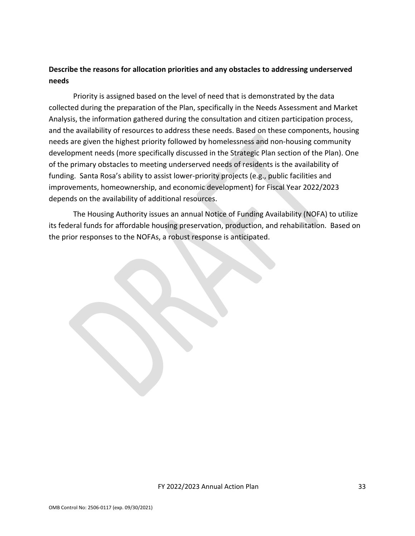## **Describe the reasons for allocation priorities and any obstacles to addressing underserved needs**

Priority is assigned based on the level of need that is demonstrated by the data collected during the preparation of the Plan, specifically in the Needs Assessment and Market Analysis, the information gathered during the consultation and citizen participation process, and the availability of resources to address these needs. Based on these components, housing needs are given the highest priority followed by homelessness and non-housing community development needs (more specifically discussed in the Strategic Plan section of the Plan). One of the primary obstacles to meeting underserved needs of residents is the availability of funding. Santa Rosa's ability to assist lower-priority projects (e.g., public facilities and improvements, homeownership, and economic development) for Fiscal Year 2022/2023 depends on the availability of additional resources.

The Housing Authority issues an annual Notice of Funding Availability (NOFA) to utilize its federal funds for affordable housing preservation, production, and rehabilitation. Based on the prior responses to the NOFAs, a robust response is anticipated.

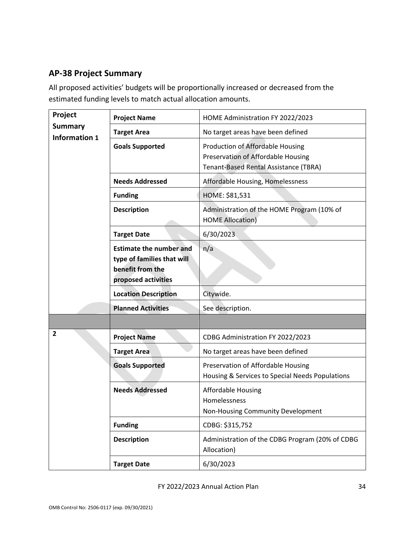# <span id="page-33-0"></span>**AP-38 Project Summary**

All proposed activities' budgets will be proportionally increased or decreased from the estimated funding levels to match actual allocation amounts.

| Project              | <b>Project Name</b>                                                                                     | HOME Administration FY 2022/2023                                                                                |  |
|----------------------|---------------------------------------------------------------------------------------------------------|-----------------------------------------------------------------------------------------------------------------|--|
| <b>Summary</b>       | <b>Target Area</b>                                                                                      | No target areas have been defined                                                                               |  |
| <b>Information 1</b> | <b>Goals Supported</b>                                                                                  | Production of Affordable Housing<br>Preservation of Affordable Housing<br>Tenant-Based Rental Assistance (TBRA) |  |
|                      | <b>Needs Addressed</b>                                                                                  | Affordable Housing, Homelessness                                                                                |  |
|                      | <b>Funding</b>                                                                                          | HOME: \$81,531                                                                                                  |  |
|                      | <b>Description</b>                                                                                      | Administration of the HOME Program (10% of<br><b>HOME Allocation)</b>                                           |  |
|                      | <b>Target Date</b>                                                                                      | 6/30/2023                                                                                                       |  |
|                      | <b>Estimate the number and</b><br>type of families that will<br>benefit from the<br>proposed activities | n/a                                                                                                             |  |
|                      | <b>Location Description</b>                                                                             | Citywide.                                                                                                       |  |
|                      | <b>Planned Activities</b>                                                                               | See description.                                                                                                |  |
|                      |                                                                                                         |                                                                                                                 |  |
| 2                    | <b>Project Name</b>                                                                                     | CDBG Administration FY 2022/2023                                                                                |  |
|                      | <b>Target Area</b>                                                                                      | No target areas have been defined                                                                               |  |
|                      | <b>Goals Supported</b>                                                                                  | Preservation of Affordable Housing<br>Housing & Services to Special Needs Populations                           |  |
|                      | <b>Needs Addressed</b>                                                                                  | <b>Affordable Housing</b><br>Homelessness<br>Non-Housing Community Development                                  |  |
|                      | <b>Funding</b>                                                                                          | CDBG: \$315,752                                                                                                 |  |
|                      | <b>Description</b>                                                                                      | Administration of the CDBG Program (20% of CDBG<br>Allocation)                                                  |  |
|                      | <b>Target Date</b>                                                                                      | 6/30/2023                                                                                                       |  |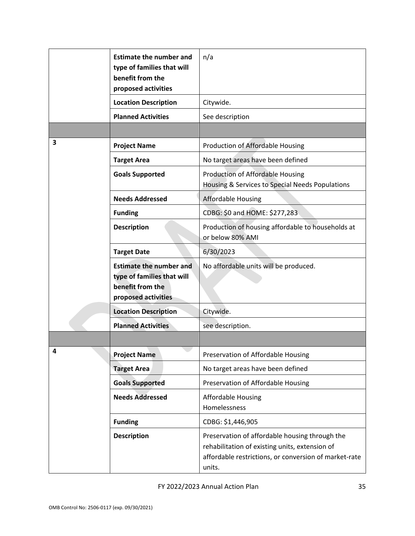|   | <b>Estimate the number and</b><br>type of families that will<br>benefit from the<br>proposed activities | n/a                                                                                                                                                                 |
|---|---------------------------------------------------------------------------------------------------------|---------------------------------------------------------------------------------------------------------------------------------------------------------------------|
|   | <b>Location Description</b>                                                                             | Citywide.                                                                                                                                                           |
|   | <b>Planned Activities</b>                                                                               | See description                                                                                                                                                     |
|   |                                                                                                         |                                                                                                                                                                     |
| 3 | <b>Project Name</b>                                                                                     | Production of Affordable Housing                                                                                                                                    |
|   | <b>Target Area</b>                                                                                      | No target areas have been defined                                                                                                                                   |
|   | <b>Goals Supported</b>                                                                                  | Production of Affordable Housing<br>Housing & Services to Special Needs Populations                                                                                 |
|   | <b>Needs Addressed</b>                                                                                  | <b>Affordable Housing</b>                                                                                                                                           |
|   | <b>Funding</b>                                                                                          | CDBG: \$0 and HOME: \$277,283                                                                                                                                       |
|   | <b>Description</b>                                                                                      | Production of housing affordable to households at<br>or below 80% AMI                                                                                               |
|   | <b>Target Date</b>                                                                                      | 6/30/2023                                                                                                                                                           |
|   | <b>Estimate the number and</b><br>type of families that will<br>benefit from the<br>proposed activities | No affordable units will be produced.                                                                                                                               |
|   | <b>Location Description</b>                                                                             | Citywide.                                                                                                                                                           |
|   | <b>Planned Activities</b>                                                                               | see description.                                                                                                                                                    |
|   |                                                                                                         |                                                                                                                                                                     |
|   | <b>Project Name</b>                                                                                     | Preservation of Affordable Housing                                                                                                                                  |
|   | <b>Target Area</b>                                                                                      | No target areas have been defined                                                                                                                                   |
|   | <b>Goals Supported</b>                                                                                  | Preservation of Affordable Housing                                                                                                                                  |
|   | <b>Needs Addressed</b>                                                                                  | <b>Affordable Housing</b><br>Homelessness                                                                                                                           |
|   | <b>Funding</b>                                                                                          | CDBG: \$1,446,905                                                                                                                                                   |
|   | <b>Description</b>                                                                                      | Preservation of affordable housing through the<br>rehabilitation of existing units, extension of<br>affordable restrictions, or conversion of market-rate<br>units. |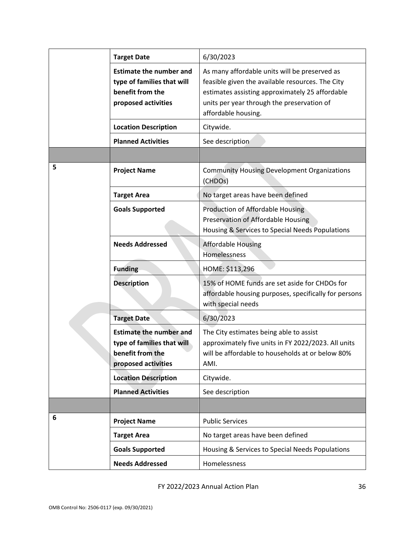|   | <b>Target Date</b>                                                                                      | 6/30/2023                                                                                                                                                                                                                 |
|---|---------------------------------------------------------------------------------------------------------|---------------------------------------------------------------------------------------------------------------------------------------------------------------------------------------------------------------------------|
|   | <b>Estimate the number and</b><br>type of families that will<br>benefit from the<br>proposed activities | As many affordable units will be preserved as<br>feasible given the available resources. The City<br>estimates assisting approximately 25 affordable<br>units per year through the preservation of<br>affordable housing. |
|   | <b>Location Description</b>                                                                             | Citywide.                                                                                                                                                                                                                 |
|   | <b>Planned Activities</b>                                                                               | See description                                                                                                                                                                                                           |
|   |                                                                                                         |                                                                                                                                                                                                                           |
| 5 | <b>Project Name</b>                                                                                     | <b>Community Housing Development Organizations</b><br>(CHDOs)                                                                                                                                                             |
|   | <b>Target Area</b>                                                                                      | No target areas have been defined                                                                                                                                                                                         |
|   | <b>Goals Supported</b>                                                                                  | Production of Affordable Housing<br>Preservation of Affordable Housing<br>Housing & Services to Special Needs Populations                                                                                                 |
|   | <b>Needs Addressed</b>                                                                                  | <b>Affordable Housing</b><br>Homelessness                                                                                                                                                                                 |
|   | <b>Funding</b>                                                                                          | HOME: \$113,296                                                                                                                                                                                                           |
|   | <b>Description</b>                                                                                      | 15% of HOME funds are set aside for CHDOs for<br>affordable housing purposes, specifically for persons<br>with special needs                                                                                              |
|   | <b>Target Date</b>                                                                                      | 6/30/2023                                                                                                                                                                                                                 |
|   | <b>Estimate the number and</b><br>type of families that will<br>benefit from the<br>proposed activities | The City estimates being able to assist<br>approximately five units in FY 2022/2023. All units<br>will be affordable to households at or below 80%<br>AMI.                                                                |
|   | <b>Location Description</b>                                                                             | Citywide.                                                                                                                                                                                                                 |
|   | <b>Planned Activities</b>                                                                               | See description                                                                                                                                                                                                           |
|   |                                                                                                         |                                                                                                                                                                                                                           |
| 6 | <b>Project Name</b>                                                                                     | <b>Public Services</b>                                                                                                                                                                                                    |
|   | <b>Target Area</b>                                                                                      | No target areas have been defined                                                                                                                                                                                         |
|   | <b>Goals Supported</b>                                                                                  | Housing & Services to Special Needs Populations                                                                                                                                                                           |
|   | <b>Needs Addressed</b>                                                                                  | Homelessness                                                                                                                                                                                                              |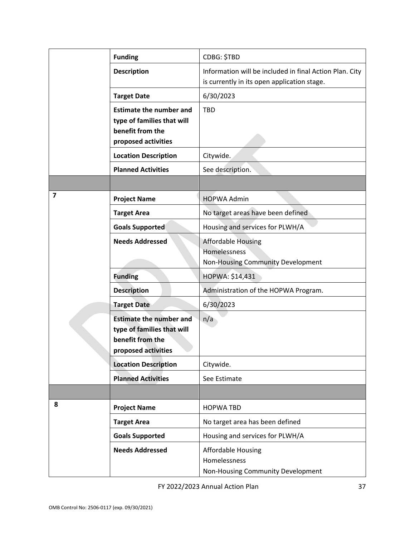|                         | <b>Funding</b>                                                                                          | CDBG: \$TBD                                                                                            |
|-------------------------|---------------------------------------------------------------------------------------------------------|--------------------------------------------------------------------------------------------------------|
|                         | <b>Description</b>                                                                                      | Information will be included in final Action Plan. City<br>is currently in its open application stage. |
|                         | <b>Target Date</b>                                                                                      | 6/30/2023                                                                                              |
|                         | <b>Estimate the number and</b><br>type of families that will<br>benefit from the<br>proposed activities | <b>TBD</b>                                                                                             |
|                         | <b>Location Description</b>                                                                             | Citywide.                                                                                              |
|                         | <b>Planned Activities</b>                                                                               | See description.                                                                                       |
|                         |                                                                                                         |                                                                                                        |
| $\overline{\mathbf{z}}$ | <b>Project Name</b>                                                                                     | <b>HOPWA Admin</b>                                                                                     |
|                         | <b>Target Area</b>                                                                                      | No target areas have been defined                                                                      |
|                         | <b>Goals Supported</b>                                                                                  | Housing and services for PLWH/A                                                                        |
|                         | <b>Needs Addressed</b>                                                                                  | <b>Affordable Housing</b><br>Homelessness<br>Non-Housing Community Development                         |
|                         | <b>Funding</b>                                                                                          | HOPWA: \$14,431                                                                                        |
|                         | <b>Description</b>                                                                                      | Administration of the HOPWA Program.                                                                   |
|                         | <b>Target Date</b>                                                                                      | 6/30/2023                                                                                              |
|                         | <b>Estimate the number and</b><br>type of families that will<br>benefit from the<br>proposed activities | n/a                                                                                                    |
|                         | <b>Location Description</b>                                                                             | Citywide.                                                                                              |
|                         | <b>Planned Activities</b>                                                                               | See Estimate                                                                                           |
|                         |                                                                                                         |                                                                                                        |
| 8                       | <b>Project Name</b>                                                                                     | <b>HOPWA TBD</b>                                                                                       |
|                         | <b>Target Area</b>                                                                                      | No target area has been defined                                                                        |
|                         | <b>Goals Supported</b>                                                                                  | Housing and services for PLWH/A                                                                        |
|                         | <b>Needs Addressed</b>                                                                                  | Affordable Housing<br>Homelessness<br>Non-Housing Community Development                                |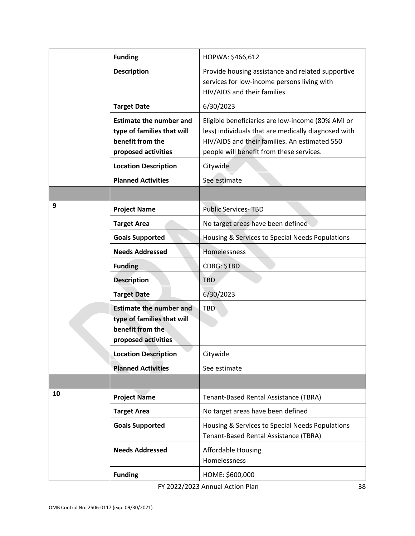|    | <b>Funding</b>                                                                                          | HOPWA: \$466,612                                                                                                                                                                                      |
|----|---------------------------------------------------------------------------------------------------------|-------------------------------------------------------------------------------------------------------------------------------------------------------------------------------------------------------|
|    | <b>Description</b>                                                                                      | Provide housing assistance and related supportive<br>services for low-income persons living with<br>HIV/AIDS and their families                                                                       |
|    | <b>Target Date</b>                                                                                      | 6/30/2023                                                                                                                                                                                             |
|    | <b>Estimate the number and</b><br>type of families that will<br>benefit from the<br>proposed activities | Eligible beneficiaries are low-income (80% AMI or<br>less) individuals that are medically diagnosed with<br>HIV/AIDS and their families. An estimated 550<br>people will benefit from these services. |
|    | <b>Location Description</b>                                                                             | Citywide.                                                                                                                                                                                             |
|    | <b>Planned Activities</b>                                                                               | See estimate                                                                                                                                                                                          |
|    |                                                                                                         |                                                                                                                                                                                                       |
| 9  | <b>Project Name</b>                                                                                     | <b>Public Services-TBD</b>                                                                                                                                                                            |
|    | <b>Target Area</b>                                                                                      | No target areas have been defined                                                                                                                                                                     |
|    | <b>Goals Supported</b>                                                                                  | Housing & Services to Special Needs Populations                                                                                                                                                       |
|    | <b>Needs Addressed</b>                                                                                  | Homelessness                                                                                                                                                                                          |
|    | <b>Funding</b>                                                                                          | CDBG: \$TBD                                                                                                                                                                                           |
|    | <b>Description</b>                                                                                      | <b>TBD</b>                                                                                                                                                                                            |
|    | <b>Target Date</b>                                                                                      | 6/30/2023                                                                                                                                                                                             |
|    | <b>Estimate the number and</b><br>type of families that will<br>benefit from the<br>proposed activities | <b>TBD</b>                                                                                                                                                                                            |
|    | <b>Location Description</b>                                                                             | Citywide                                                                                                                                                                                              |
|    | <b>Planned Activities</b>                                                                               | See estimate                                                                                                                                                                                          |
|    |                                                                                                         |                                                                                                                                                                                                       |
| 10 | <b>Project Name</b>                                                                                     | Tenant-Based Rental Assistance (TBRA)                                                                                                                                                                 |
|    | <b>Target Area</b>                                                                                      | No target areas have been defined                                                                                                                                                                     |
|    | <b>Goals Supported</b>                                                                                  | Housing & Services to Special Needs Populations<br>Tenant-Based Rental Assistance (TBRA)                                                                                                              |
|    | <b>Needs Addressed</b>                                                                                  | <b>Affordable Housing</b><br>Homelessness                                                                                                                                                             |
|    | <b>Funding</b>                                                                                          | HOME: \$600,000                                                                                                                                                                                       |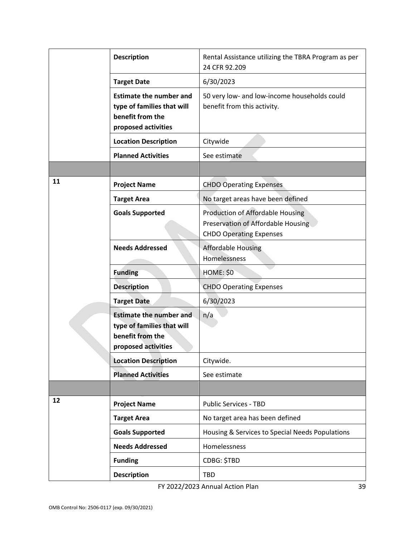|    | <b>Description</b>                                                                                      | Rental Assistance utilizing the TBRA Program as per<br>24 CFR 92.209                                     |
|----|---------------------------------------------------------------------------------------------------------|----------------------------------------------------------------------------------------------------------|
|    | <b>Target Date</b>                                                                                      | 6/30/2023                                                                                                |
|    | <b>Estimate the number and</b><br>type of families that will<br>benefit from the<br>proposed activities | 50 very low- and low-income households could<br>benefit from this activity.                              |
|    | <b>Location Description</b>                                                                             | Citywide                                                                                                 |
|    | <b>Planned Activities</b>                                                                               | See estimate                                                                                             |
|    |                                                                                                         |                                                                                                          |
| 11 | <b>Project Name</b>                                                                                     | <b>CHDO Operating Expenses</b>                                                                           |
|    | <b>Target Area</b>                                                                                      | No target areas have been defined                                                                        |
|    | <b>Goals Supported</b>                                                                                  | Production of Affordable Housing<br>Preservation of Affordable Housing<br><b>CHDO Operating Expenses</b> |
|    | <b>Needs Addressed</b>                                                                                  | <b>Affordable Housing</b><br>Homelessness                                                                |
|    | <b>Funding</b>                                                                                          | <b>HOME: \$0</b>                                                                                         |
|    | <b>Description</b>                                                                                      | <b>CHDO Operating Expenses</b>                                                                           |
|    | <b>Target Date</b>                                                                                      | 6/30/2023                                                                                                |
|    | <b>Estimate the number and</b><br>type of families that will<br>benefit from the<br>proposed activities | n/a                                                                                                      |
|    | <b>Location Description</b>                                                                             | Citywide.                                                                                                |
|    | <b>Planned Activities</b>                                                                               | See estimate                                                                                             |
|    |                                                                                                         |                                                                                                          |
| 12 | <b>Project Name</b>                                                                                     | Public Services - TBD                                                                                    |
|    | <b>Target Area</b>                                                                                      | No target area has been defined                                                                          |
|    | <b>Goals Supported</b>                                                                                  | Housing & Services to Special Needs Populations                                                          |
|    | <b>Needs Addressed</b>                                                                                  | Homelessness                                                                                             |
|    | <b>Funding</b>                                                                                          | CDBG: \$TBD                                                                                              |
|    | <b>Description</b>                                                                                      | <b>TBD</b>                                                                                               |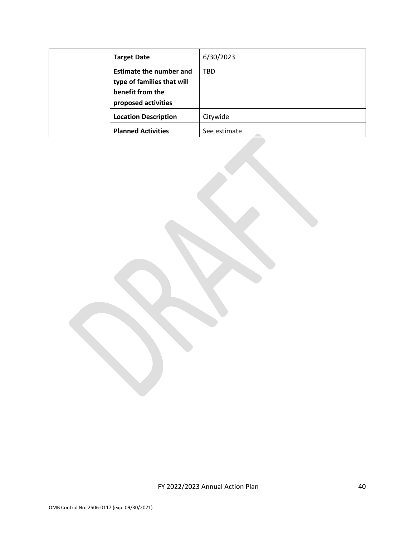| <b>Target Date</b>             | 6/30/2023    |
|--------------------------------|--------------|
| <b>Estimate the number and</b> | TBD          |
| type of families that will     |              |
| benefit from the               |              |
| proposed activities            |              |
| <b>Location Description</b>    | Citywide     |
| <b>Planned Activities</b>      | See estimate |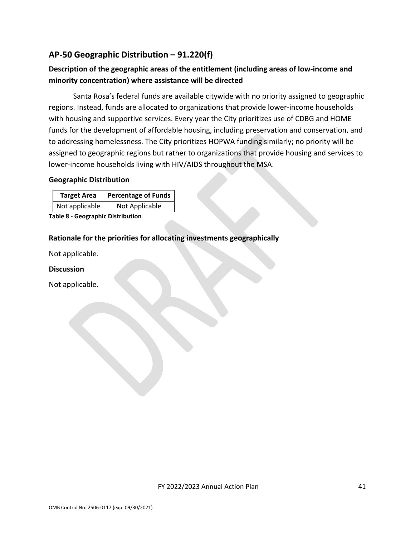# <span id="page-40-0"></span>**AP-50 Geographic Distribution – 91.220(f)**

# **Description of the geographic areas of the entitlement (including areas of low-income and minority concentration) where assistance will be directed**

Santa Rosa's federal funds are available citywide with no priority assigned to geographic regions. Instead, funds are allocated to organizations that provide lower-income households with housing and supportive services. Every year the City prioritizes use of CDBG and HOME funds for the development of affordable housing, including preservation and conservation, and to addressing homelessness. The City prioritizes HOPWA funding similarly; no priority will be assigned to geographic regions but rather to organizations that provide housing and services to lower-income households living with HIV/AIDS throughout the MSA.

#### **Geographic Distribution**

| <b>Target Area</b> | <b>Percentage of Funds</b> |
|--------------------|----------------------------|
| Not applicable     | Not Applicable             |

**Table 8 - Geographic Distribution** 

#### **Rationale for the priorities for allocating investments geographically**

Not applicable.

#### **Discussion**

Not applicable.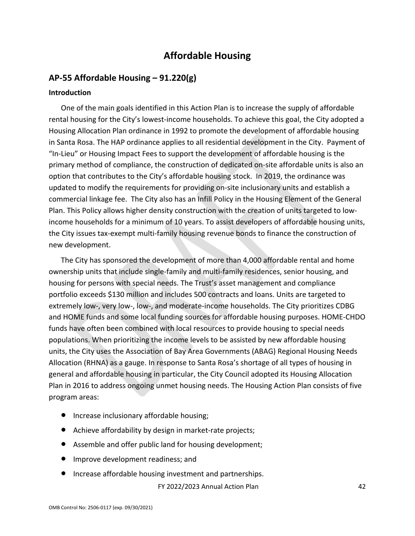# **Affordable Housing**

## <span id="page-41-1"></span><span id="page-41-0"></span>**AP-55 Affordable Housing – 91.220(g)**

#### **Introduction**

One of the main goals identified in this Action Plan is to increase the supply of affordable rental housing for the City's lowest-income households. To achieve this goal, the City adopted a Housing Allocation Plan ordinance in 1992 to promote the development of affordable housing in Santa Rosa. The HAP ordinance applies to all residential development in the City. Payment of "In-Lieu" or Housing Impact Fees to support the development of affordable housing is the primary method of compliance, the construction of dedicated on-site affordable units is also an option that contributes to the City's affordable housing stock. In 2019, the ordinance was updated to modify the requirements for providing on-site inclusionary units and establish a commercial linkage fee. The City also has an Infill Policy in the Housing Element of the General Plan. This Policy allows higher density construction with the creation of units targeted to lowincome households for a minimum of 10 years. To assist developers of affordable housing units, the City issues tax-exempt multi-family housing revenue bonds to finance the construction of new development.

The City has sponsored the development of more than 4,000 affordable rental and home ownership units that include single-family and multi-family residences, senior housing, and housing for persons with special needs. The Trust's asset management and compliance portfolio exceeds \$130 million and includes 500 contracts and loans. Units are targeted to extremely low-, very low-, low-, and moderate-income households. The City prioritizes CDBG and HOME funds and some local funding sources for affordable housing purposes. HOME-CHDO funds have often been combined with local resources to provide housing to special needs populations. When prioritizing the income levels to be assisted by new affordable housing units, the City uses the Association of Bay Area Governments (ABAG) Regional Housing Needs Allocation (RHNA) as a gauge. In response to Santa Rosa's shortage of all types of housing in general and affordable housing in particular, the City Council adopted its Housing Allocation Plan in 2016 to address ongoing unmet housing needs. The Housing Action Plan consists of five program areas:

- Increase inclusionary affordable housing;
- Achieve affordability by design in market-rate projects;
- Assemble and offer public land for housing development;
- Improve development readiness; and
- Increase affordable housing investment and partnerships.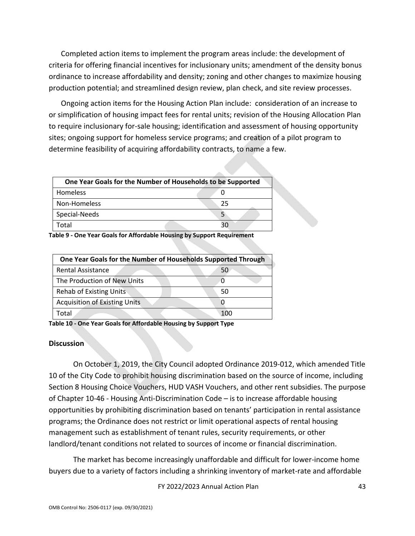Completed action items to implement the program areas include: the development of criteria for offering financial incentives for inclusionary units; amendment of the density bonus ordinance to increase affordability and density; zoning and other changes to maximize housing production potential; and streamlined design review, plan check, and site review processes.

Ongoing action items for the Housing Action Plan include: consideration of an increase to or simplification of housing impact fees for rental units; revision of the Housing Allocation Plan to require inclusionary for-sale housing; identification and assessment of housing opportunity sites; ongoing support for homeless service programs; and creation of a pilot program to determine feasibility of acquiring affordability contracts, to name a few.

| One Year Goals for the Number of Households to be Supported |  |
|-------------------------------------------------------------|--|
| <b>Homeless</b>                                             |  |
| Non-Homeless                                                |  |
| Special-Needs                                               |  |
| otal                                                        |  |

**Table 9 - One Year Goals for Affordable Housing by Support Requirement**

| One Year Goals for the Number of Households Supported Through |     |
|---------------------------------------------------------------|-----|
| <b>Rental Assistance</b>                                      | 50  |
| The Production of New Units                                   |     |
| Rehab of Existing Units                                       | 50  |
| <b>Acquisition of Existing Units</b>                          |     |
| Total                                                         | 100 |

**Table 10 - One Year Goals for Affordable Housing by Support Type**

#### **Discussion**

On October 1, 2019, the City Council adopted Ordinance 2019-012, which amended Title 10 of the City Code to prohibit housing discrimination based on the source of income, including Section 8 Housing Choice Vouchers, HUD VASH Vouchers, and other rent subsidies. The purpose of Chapter 10-46 - Housing Anti-Discrimination Code – is to increase affordable housing opportunities by prohibiting discrimination based on tenants' participation in rental assistance programs; the Ordinance does not restrict or limit operational aspects of rental housing management such as establishment of tenant rules, security requirements, or other landlord/tenant conditions not related to sources of income or financial discrimination.

The market has become increasingly unaffordable and difficult for lower-income home buyers due to a variety of factors including a shrinking inventory of market-rate and affordable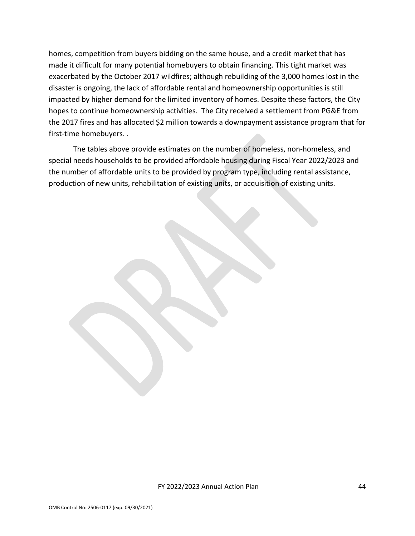homes, competition from buyers bidding on the same house, and a credit market that has made it difficult for many potential homebuyers to obtain financing. This tight market was exacerbated by the October 2017 wildfires; although rebuilding of the 3,000 homes lost in the disaster is ongoing, the lack of affordable rental and homeownership opportunities is still impacted by higher demand for the limited inventory of homes. Despite these factors, the City hopes to continue homeownership activities. The City received a settlement from PG&E from the 2017 fires and has allocated \$2 million towards a downpayment assistance program that for first-time homebuyers. .

The tables above provide estimates on the number of homeless, non-homeless, and special needs households to be provided affordable housing during Fiscal Year 2022/2023 and the number of affordable units to be provided by program type, including rental assistance, production of new units, rehabilitation of existing units, or acquisition of existing units.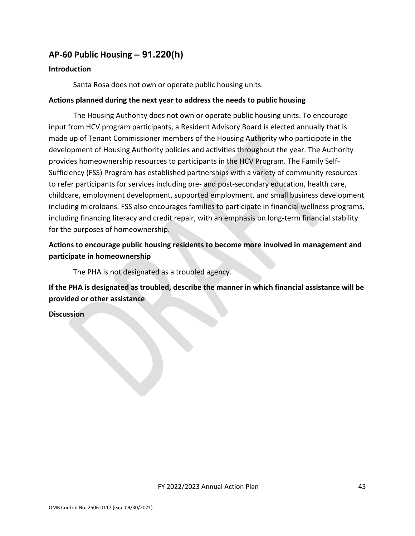# <span id="page-44-0"></span>**AP-60 Public Housing** *–* **91.220(h)**

#### **Introduction**

Santa Rosa does not own or operate public housing units.

#### **Actions planned during the next year to address the needs to public housing**

The Housing Authority does not own or operate public housing units. To encourage input from HCV program participants, a Resident Advisory Board is elected annually that is made up of Tenant Commissioner members of the Housing Authority who participate in the development of Housing Authority policies and activities throughout the year. The Authority provides homeownership resources to participants in the HCV Program. The Family Self-Sufficiency (FSS) Program has established partnerships with a variety of community resources to refer participants for services including pre- and post-secondary education, health care, childcare, employment development, supported employment, and small business development including microloans. FSS also encourages families to participate in financial wellness programs, including financing literacy and credit repair, with an emphasis on long-term financial stability for the purposes of homeownership.

## **Actions to encourage public housing residents to become more involved in management and participate in homeownership**

The PHA is not designated as a troubled agency.

**If the PHA is designated as troubled, describe the manner in which financial assistance will be provided or other assistance** 

**Discussion**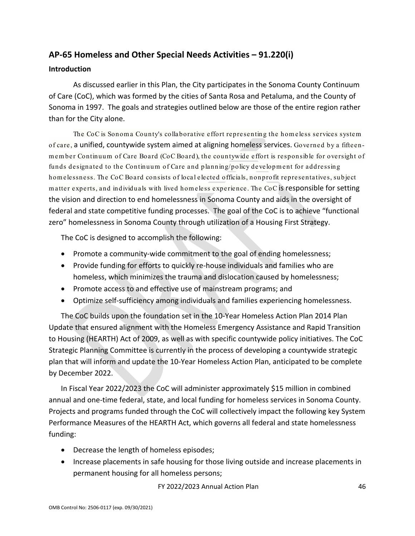# <span id="page-45-0"></span>**AP-65 Homeless and Other Special Needs Activities – 91.220(i)**

#### **Introduction**

As discussed earlier in this Plan, the City participates in the Sonoma County Continuum of Care (CoC), which was formed by the cities of Santa Rosa and Petaluma, and the County of Sonoma in 1997. The goals and strategies outlined below are those of the entire region rather than for the City alone.

The CoC is Sonoma County's collaborative effort representing the homeless services system of care, a unified, countywide system aimed at aligning homeless services. Governed by a fifteenm em ber Continuum of Care Board (CoC Board), the countywide effort is responsible for oversight of funds designated to the Continuum of Care and planning/policy development for addressing hom elessness. The CoC Board consists of local elected officials, nonprofit representatives, subject m atter experts, and individuals with lived hom eless experience. The CoC is responsible for setting the vision and direction to end homelessness in Sonoma County and aids in the oversight of federal and state competitive funding processes. The goal of the CoC is to achieve "functional zero" homelessness in Sonoma County through utilization of a Housing First Strategy.

The CoC is designed to accomplish the following:

- Promote a community-wide commitment to the goal of ending homelessness;
- Provide funding for efforts to quickly re-house individuals and families who are homeless, which minimizes the trauma and dislocation caused by homelessness;
- Promote access to and effective use of mainstream programs; and
- Optimize self-sufficiency among individuals and families experiencing homelessness.

The CoC builds upon the foundation set in the 10-Year Homeless Action Plan 2014 Plan Update that ensured alignment with the Homeless Emergency Assistance and Rapid Transition to Housing (HEARTH) Act of 2009, as well as with specific countywide policy initiatives. The CoC Strategic Planning Committee is currently in the process of developing a countywide strategic plan that will inform and update the 10-Year Homeless Action Plan, anticipated to be complete by December 2022.

In Fiscal Year 2022/2023 the CoC will administer approximately \$15 million in combined annual and one-time federal, state, and local funding for homeless services in Sonoma County. Projects and programs funded through the CoC will collectively impact the following key System Performance Measures of the HEARTH Act, which governs all federal and state homelessness funding:

- Decrease the length of homeless episodes;
- Increase placements in safe housing for those living outside and increase placements in permanent housing for all homeless persons;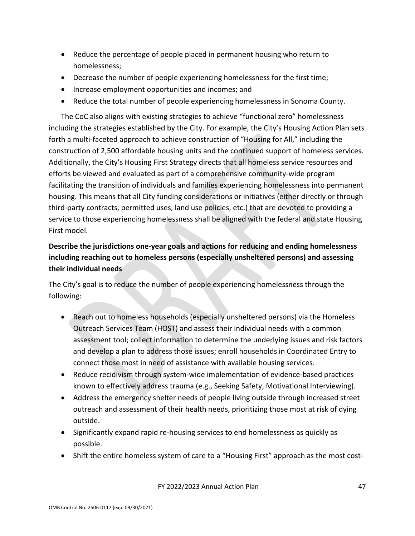- Reduce the percentage of people placed in permanent housing who return to homelessness;
- Decrease the number of people experiencing homelessness for the first time;
- Increase employment opportunities and incomes; and
- Reduce the total number of people experiencing homelessness in Sonoma County.

The CoC also aligns with existing strategies to achieve "functional zero" homelessness including the strategies established by the City. For example, the City's Housing Action Plan sets forth a multi-faceted approach to achieve construction of "Housing for All," including the construction of 2,500 affordable housing units and the continued support of homeless services. Additionally, the City's Housing First Strategy directs that all homeless service resources and efforts be viewed and evaluated as part of a comprehensive community-wide program facilitating the transition of individuals and families experiencing homelessness into permanent housing. This means that all City funding considerations or initiatives (either directly or through third-party contracts, permitted uses, land use policies, etc.) that are devoted to providing a service to those experiencing homelessness shall be aligned with the federal and state Housing First model.

# **Describe the jurisdictions one-year goals and actions for reducing and ending homelessness including reaching out to homeless persons (especially unsheltered persons) and assessing their individual needs**

The City's goal is to reduce the number of people experiencing homelessness through the following:

- Reach out to homeless households (especially unsheltered persons) via the Homeless Outreach Services Team (HOST) and assess their individual needs with a common assessment tool; collect information to determine the underlying issues and risk factors and develop a plan to address those issues; enroll households in Coordinated Entry to connect those most in need of assistance with available housing services.
- Reduce recidivism through system-wide implementation of evidence-based practices known to effectively address trauma (e.g., Seeking Safety, Motivational Interviewing).
- Address the emergency shelter needs of people living outside through increased street outreach and assessment of their health needs, prioritizing those most at risk of dying outside.
- Significantly expand rapid re-housing services to end homelessness as quickly as possible.
- Shift the entire homeless system of care to a "Housing First" approach as the most cost-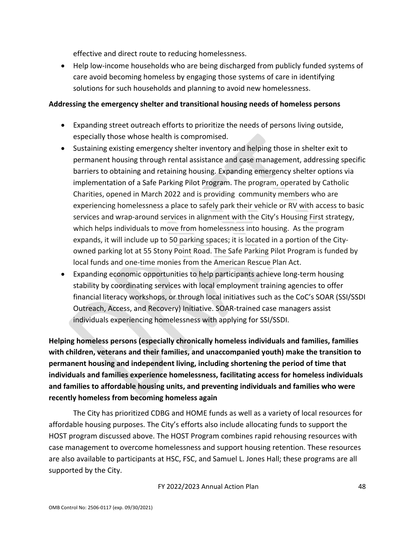effective and direct route to reducing homelessness.

• Help low-income households who are being discharged from publicly funded systems of care avoid becoming homeless by engaging those systems of care in identifying solutions for such households and planning to avoid new homelessness.

#### **Addressing the emergency shelter and transitional housing needs of homeless persons**

- Expanding street outreach efforts to prioritize the needs of persons living outside, especially those whose health is compromised.
- Sustaining existing emergency shelter inventory and helping those in shelter exit to permanent housing through rental assistance and case management, addressing specific barriers to obtaining and retaining housing. Expanding emergency shelter options via implementation of a Safe Parking Pilot Program. The program, operated by Catholic Charities, opened in March 2022 and is providing community members who are experiencing homelessness a place to safely park their vehicle or RV with access to basic services and wrap-around services in alignment with the City's Housing First strategy, which helps individuals to move from homelessness into housing. As the program expands, it will include up to 50 parking spaces; it is located in a portion of the Cityowned parking lot at 55 Stony Point Road. The Safe Parking Pilot Program is funded by local funds and one-time monies from the American Rescue Plan Act.
- Expanding economic opportunities to help participants achieve long-term housing stability by coordinating services with local employment training agencies to offer financial literacy workshops, or through local initiatives such as the CoC's SOAR (SSI/SSDI Outreach, Access, and Recovery) Initiative. SOAR-trained case managers assist individuals experiencing homelessness with applying for SSI/SSDI.

**Helping homeless persons (especially chronically homeless individuals and families, families with children, veterans and their families, and unaccompanied youth) make the transition to permanent housing and independent living, including shortening the period of time that individuals and families experience homelessness, facilitating access for homeless individuals and families to affordable housing units, and preventing individuals and families who were recently homeless from becoming homeless again**

The City has prioritized CDBG and HOME funds as well as a variety of local resources for affordable housing purposes. The City's efforts also include allocating funds to support the HOST program discussed above. The HOST Program combines rapid rehousing resources with case management to overcome homelessness and support housing retention. These resources are also available to participants at HSC, FSC, and Samuel L. Jones Hall; these programs are all supported by the City.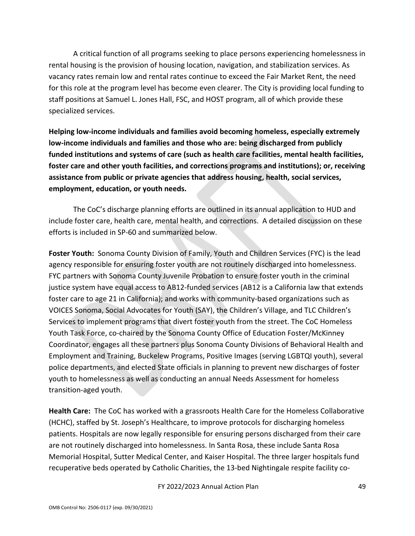A critical function of all programs seeking to place persons experiencing homelessness in rental housing is the provision of housing location, navigation, and stabilization services. As vacancy rates remain low and rental rates continue to exceed the Fair Market Rent, the need for this role at the program level has become even clearer. The City is providing local funding to staff positions at Samuel L. Jones Hall, FSC, and HOST program, all of which provide these specialized services.

**Helping low-income individuals and families avoid becoming homeless, especially extremely low-income individuals and families and those who are: being discharged from publicly funded institutions and systems of care (such as health care facilities, mental health facilities, foster care and other youth facilities, and corrections programs and institutions); or, receiving assistance from public or private agencies that address housing, health, social services, employment, education, or youth needs.**

The CoC's discharge planning efforts are outlined in its annual application to HUD and include foster care, health care, mental health, and corrections. A detailed discussion on these efforts is included in SP-60 and summarized below.

**Foster Youth:** Sonoma County Division of Family, Youth and Children Services (FYC) is the lead agency responsible for ensuring foster youth are not routinely discharged into homelessness. FYC partners with Sonoma County Juvenile Probation to ensure foster youth in the criminal justice system have equal access to AB12-funded services (AB12 is a California law that extends foster care to age 21 in California); and works with community-based organizations such as VOICES Sonoma, Social Advocates for Youth (SAY), the Children's Village, and TLC Children's Services to implement programs that divert foster youth from the street. The CoC Homeless Youth Task Force, co-chaired by the Sonoma County Office of Education Foster/McKinney Coordinator, engages all these partners plus Sonoma County Divisions of Behavioral Health and Employment and Training, Buckelew Programs, Positive Images (serving LGBTQI youth), several police departments, and elected State officials in planning to prevent new discharges of foster youth to homelessness as well as conducting an annual Needs Assessment for homeless transition-aged youth.

**Health Care:** The CoC has worked with a grassroots Health Care for the Homeless Collaborative (HCHC), staffed by St. Joseph's Healthcare, to improve protocols for discharging homeless patients. Hospitals are now legally responsible for ensuring persons discharged from their care are not routinely discharged into homelessness. In Santa Rosa, these include Santa Rosa Memorial Hospital, Sutter Medical Center, and Kaiser Hospital. The three larger hospitals fund recuperative beds operated by Catholic Charities, the 13-bed Nightingale respite facility co-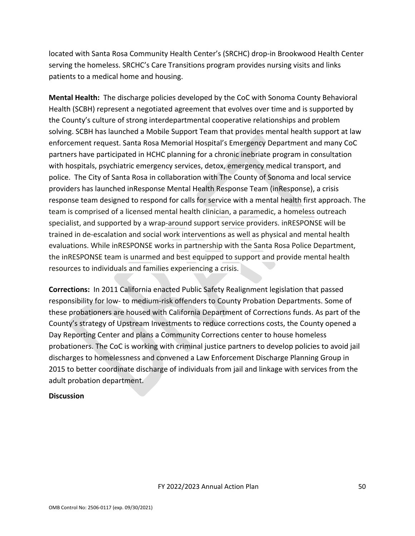located with Santa Rosa Community Health Center's (SRCHC) drop-in Brookwood Health Center serving the homeless. SRCHC's Care Transitions program provides nursing visits and links patients to a medical home and housing.

**Mental Health:** The discharge policies developed by the CoC with Sonoma County Behavioral Health (SCBH) represent a negotiated agreement that evolves over time and is supported by the County's culture of strong interdepartmental cooperative relationships and problem solving. SCBH has launched a Mobile Support Team that provides mental health support at law enforcement request. Santa Rosa Memorial Hospital's Emergency Department and many CoC partners have participated in HCHC planning for a chronic inebriate program in consultation with hospitals, psychiatric emergency services, detox, emergency medical transport, and police. The City of Santa Rosa in collaboration with The County of Sonoma and local service providers has launched inResponse Mental Health Response Team (inResponse), a crisis response team designed to respond for calls for service with a mental health first approach. The team is comprised of a licensed mental health clinician, a paramedic, a homeless outreach specialist, and supported by a wrap-around support service providers. inRESPONSE will be trained in de-escalation and social work interventions as well as physical and mental health evaluations. While inRESPONSE works in partnership with the Santa Rosa Police Department, the inRESPONSE team is unarmed and best equipped to support and provide mental health resources to individuals and families experiencing a crisis.

**Corrections:** In 2011 California enacted Public Safety Realignment legislation that passed responsibility for low- to medium-risk offenders to County Probation Departments. Some of these probationers are housed with California Department of Corrections funds. As part of the County's strategy of Upstream Investments to reduce corrections costs, the County opened a Day Reporting Center and plans a Community Corrections center to house homeless probationers. The CoC is working with criminal justice partners to develop policies to avoid jail discharges to homelessness and convened a Law Enforcement Discharge Planning Group in 2015 to better coordinate discharge of individuals from jail and linkage with services from the adult probation department.

#### **Discussion**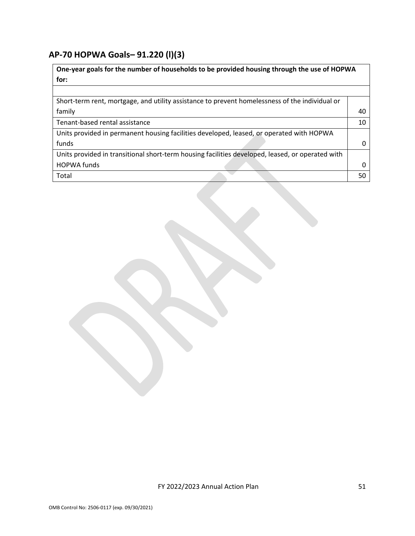## <span id="page-50-0"></span>**AP-70 HOPWA Goals***–* **91.220 (l)(3)**

**One-year goals for the number of households to be provided housing through the use of HOPWA for:** Short-term rent, mortgage, and utility assistance to prevent homelessness of the individual or family 40 Tenant-based rental assistance 10 and 10 and 10 and 10 and 10 and 10 and 10 and 10 and 10 and 10 and 10 and 10 and 10 and 10 and 10 and 10 and 10 and 10 and 10 and 10 and 10 and 10 and 10 and 10 and 10 and 10 and 10 and 10 Units provided in permanent housing facilities developed, leased, or operated with HOPWA funds 0 Units provided in transitional short-term housing facilities developed, leased, or operated with HOPWA funds 0 Total 50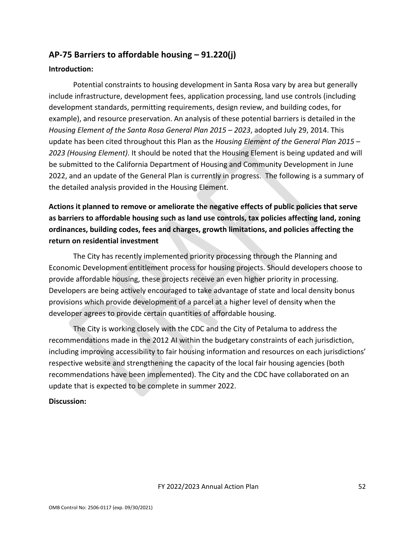# <span id="page-51-0"></span>**AP-75 Barriers to affordable housing – 91.220(j)**

#### **Introduction:**

Potential constraints to housing development in Santa Rosa vary by area but generally include infrastructure, development fees, application processing, land use controls (including development standards, permitting requirements, design review, and building codes, for example), and resource preservation. An analysis of these potential barriers is detailed in the *Housing Element of the Santa Rosa General Plan 2015 – 2023*, adopted July 29, 2014. This update has been cited throughout this Plan as the *Housing Element of the General Plan 2015 – 2023 (Housing Element)*. It should be noted that the Housing Element is being updated and will be submitted to the California Department of Housing and Community Development in June 2022, and an update of the General Plan is currently in progress. The following is a summary of the detailed analysis provided in the Housing Element.

**Actions it planned to remove or ameliorate the negative effects of public policies that serve as barriers to affordable housing such as land use controls, tax policies affecting land, zoning ordinances, building codes, fees and charges, growth limitations, and policies affecting the return on residential investment**

The City has recently implemented priority processing through the Planning and Economic Development entitlement process for housing projects. Should developers choose to provide affordable housing, these projects receive an even higher priority in processing. Developers are being actively encouraged to take advantage of state and local density bonus provisions which provide development of a parcel at a higher level of density when the developer agrees to provide certain quantities of affordable housing.

The City is working closely with the CDC and the City of Petaluma to address the recommendations made in the 2012 AI within the budgetary constraints of each jurisdiction, including improving accessibility to fair housing information and resources on each jurisdictions' respective website and strengthening the capacity of the local fair housing agencies (both recommendations have been implemented). The City and the CDC have collaborated on an update that is expected to be complete in summer 2022.

### **Discussion:**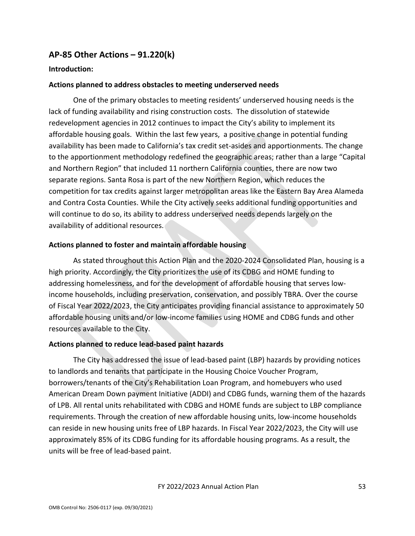## <span id="page-52-0"></span>**AP-85 Other Actions – 91.220(k)**

#### **Introduction:**

#### **Actions planned to address obstacles to meeting underserved needs**

One of the primary obstacles to meeting residents' underserved housing needs is the lack of funding availability and rising construction costs. The dissolution of statewide redevelopment agencies in 2012 continues to impact the City's ability to implement its affordable housing goals. Within the last few years, a positive change in potential funding availability has been made to California's tax credit set-asides and apportionments. The change to the apportionment methodology redefined the geographic areas; rather than a large "Capital and Northern Region" that included 11 northern California counties, there are now two separate regions. Santa Rosa is part of the new Northern Region, which reduces the competition for tax credits against larger metropolitan areas like the Eastern Bay Area Alameda and Contra Costa Counties. While the City actively seeks additional funding opportunities and will continue to do so, its ability to address underserved needs depends largely on the availability of additional resources.

#### **Actions planned to foster and maintain affordable housing**

As stated throughout this Action Plan and the 2020-2024 Consolidated Plan, housing is a high priority. Accordingly, the City prioritizes the use of its CDBG and HOME funding to addressing homelessness, and for the development of affordable housing that serves lowincome households, including preservation, conservation, and possibly TBRA. Over the course of Fiscal Year 2022/2023, the City anticipates providing financial assistance to approximately 50 affordable housing units and/or low-income families using HOME and CDBG funds and other resources available to the City.

#### **Actions planned to reduce lead-based paint hazards**

The City has addressed the issue of lead-based paint (LBP) hazards by providing notices to landlords and tenants that participate in the Housing Choice Voucher Program, borrowers/tenants of the City's Rehabilitation Loan Program, and homebuyers who used American Dream Down payment Initiative (ADDI) and CDBG funds, warning them of the hazards of LPB. All rental units rehabilitated with CDBG and HOME funds are subject to LBP compliance requirements. Through the creation of new affordable housing units, low-income households can reside in new housing units free of LBP hazards. In Fiscal Year 2022/2023, the City will use approximately 85% of its CDBG funding for its affordable housing programs. As a result, the units will be free of lead-based paint.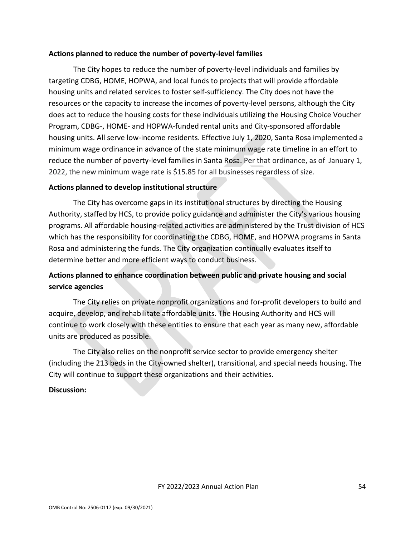#### **Actions planned to reduce the number of poverty-level families**

The City hopes to reduce the number of poverty-level individuals and families by targeting CDBG, HOME, HOPWA, and local funds to projects that will provide affordable housing units and related services to foster self-sufficiency. The City does not have the resources or the capacity to increase the incomes of poverty-level persons, although the City does act to reduce the housing costs for these individuals utilizing the Housing Choice Voucher Program, CDBG-, HOME- and HOPWA-funded rental units and City-sponsored affordable housing units. All serve low-income residents. Effective July 1, 2020, Santa Rosa implemented a minimum wage ordinance in advance of the state minimum wage rate timeline in an effort to reduce the number of poverty-level families in Santa Rosa. Per that ordinance, as of January 1, 2022, the new minimum wage rate is \$15.85 for all businesses regardless of size.

#### **Actions planned to develop institutional structure**

The City has overcome gaps in its institutional structures by directing the Housing Authority, staffed by HCS, to provide policy guidance and administer the City's various housing programs. All affordable housing-related activities are administered by the Trust division of HCS which has the responsibility for coordinating the CDBG, HOME, and HOPWA programs in Santa Rosa and administering the funds. The City organization continually evaluates itself to determine better and more efficient ways to conduct business.

## **Actions planned to enhance coordination between public and private housing and social service agencies**

The City relies on private nonprofit organizations and for-profit developers to build and acquire, develop, and rehabilitate affordable units. The Housing Authority and HCS will continue to work closely with these entities to ensure that each year as many new, affordable units are produced as possible.

The City also relies on the nonprofit service sector to provide emergency shelter (including the 213 beds in the City-owned shelter), transitional, and special needs housing. The City will continue to support these organizations and their activities.

#### **Discussion:**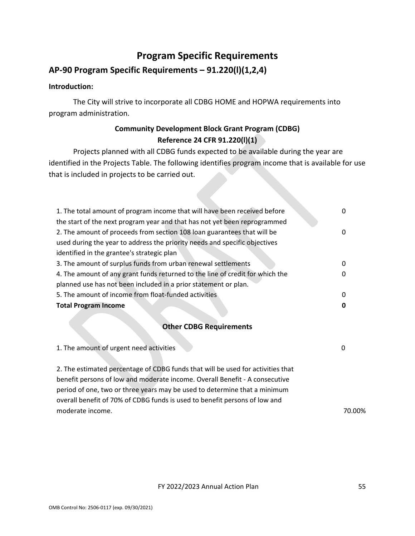# **Program Specific Requirements**

# <span id="page-54-0"></span>**AP-90 Program Specific Requirements – 91.220(l)(1,2,4)**

#### **Introduction:**

The City will strive to incorporate all CDBG HOME and HOPWA requirements into program administration.

## **Community Development Block Grant Program (CDBG) Reference 24 CFR 91.220(l)(1)**

Projects planned with all CDBG funds expected to be available during the year are identified in the Projects Table. The following identifies program income that is available for use that is included in projects to be carried out.

| 0                              |  |  |  |
|--------------------------------|--|--|--|
|                                |  |  |  |
|                                |  |  |  |
|                                |  |  |  |
|                                |  |  |  |
|                                |  |  |  |
|                                |  |  |  |
|                                |  |  |  |
|                                |  |  |  |
| <b>Other CDBG Requirements</b> |  |  |  |
|                                |  |  |  |
|                                |  |  |  |

| 1. The amount of urgent need activities                                         |        |
|---------------------------------------------------------------------------------|--------|
| 2. The estimated percentage of CDBG funds that will be used for activities that |        |
| benefit persons of low and moderate income. Overall Benefit - A consecutive     |        |
| period of one, two or three years may be used to determine that a minimum       |        |
| overall benefit of 70% of CDBG funds is used to benefit persons of low and      |        |
| moderate income.                                                                | 70.00% |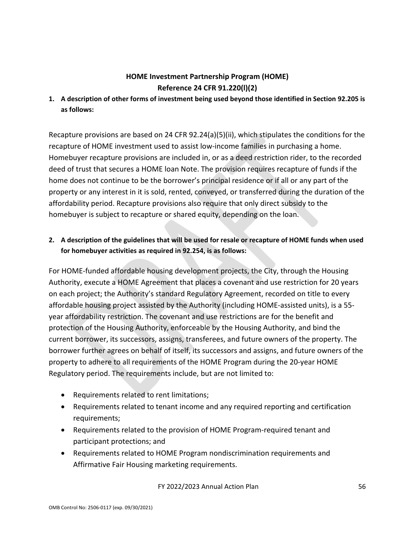# **HOME Investment Partnership Program (HOME) Reference 24 CFR 91.220(l)(2)**

**1. A description of other forms of investment being used beyond those identified in Section 92.205 is as follows:**

Recapture provisions are based on 24 CFR 92.24(a)(5)(ii), which stipulates the conditions for the recapture of HOME investment used to assist low-income families in purchasing a home. Homebuyer recapture provisions are included in, or as a deed restriction rider, to the recorded deed of trust that secures a HOME loan Note. The provision requires recapture of funds if the home does not continue to be the borrower's principal residence or if all or any part of the property or any interest in it is sold, rented, conveyed, or transferred during the duration of the affordability period. Recapture provisions also require that only direct subsidy to the homebuyer is subject to recapture or shared equity, depending on the loan.

## **2. A description of the guidelines that will be used for resale or recapture of HOME funds when used for homebuyer activities as required in 92.254, is as follows:**

For HOME-funded affordable housing development projects, the City, through the Housing Authority, execute a HOME Agreement that places a covenant and use restriction for 20 years on each project; the Authority's standard Regulatory Agreement, recorded on title to every affordable housing project assisted by the Authority (including HOME-assisted units), is a 55 year affordability restriction. The covenant and use restrictions are for the benefit and protection of the Housing Authority, enforceable by the Housing Authority, and bind the current borrower, its successors, assigns, transferees, and future owners of the property. The borrower further agrees on behalf of itself, its successors and assigns, and future owners of the property to adhere to all requirements of the HOME Program during the 20-year HOME Regulatory period. The requirements include, but are not limited to:

- Requirements related to rent limitations;
- Requirements related to tenant income and any required reporting and certification requirements;
- Requirements related to the provision of HOME Program-required tenant and participant protections; and
- Requirements related to HOME Program nondiscrimination requirements and Affirmative Fair Housing marketing requirements.